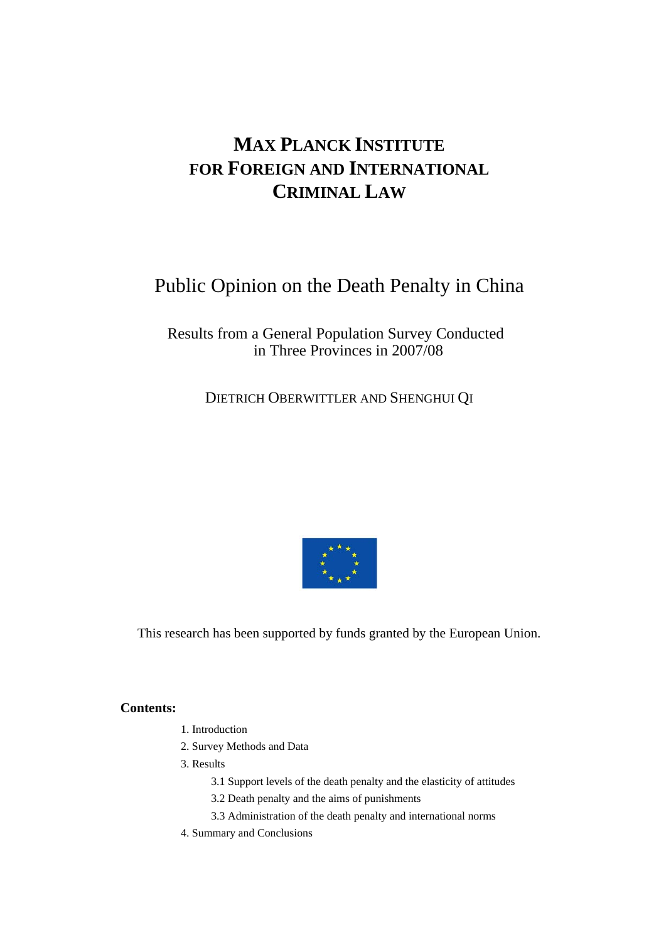# **MAX PLANCK INSTITUTE FOR FOREIGN AND INTERNATIONAL CRIMINAL LAW**

# Public Opinion on the Death Penalty in China

# Results from a General Population Survey Conducted in Three Provinces in 2007/08

DIETRICH OBERWITTLER AND SHENGHUI QI



This research has been supported by funds granted by the European Union.

### **Contents:**

- 1. Introduction
- 2. Survey Methods and Data
- 3. Results
	- 3.1 Support levels of the death penalty and the elasticity of attitudes
	- 3.2 Death penalty and the aims of punishments
	- 3.3 Administration of the death penalty and international norms
- 4. Summary and Conclusions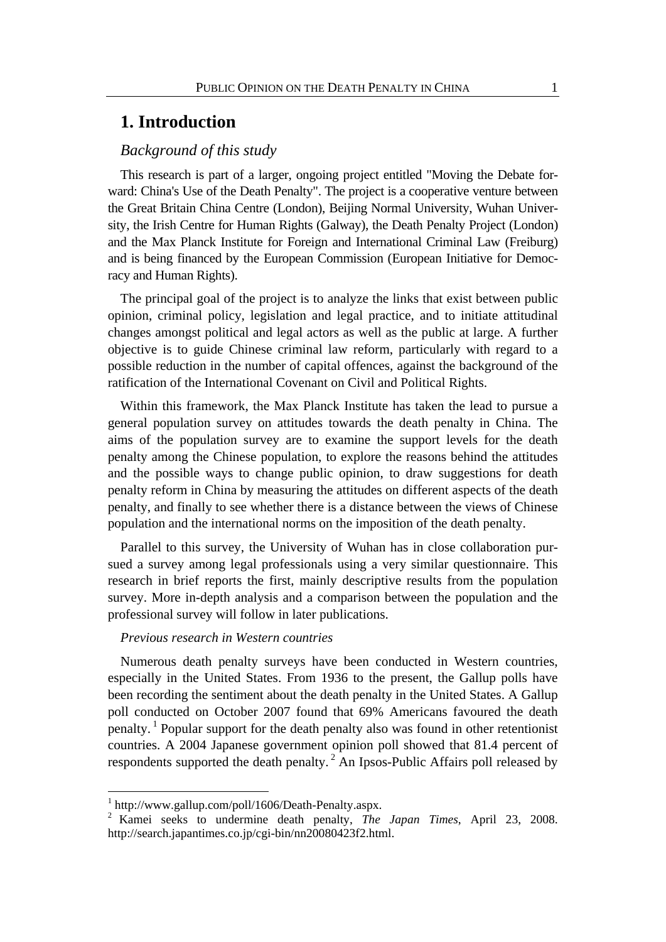# **1. Introduction**

### *Background of this study*

This research is part of a larger, ongoing project entitled "Moving the Debate forward: China's Use of the Death Penalty". The project is a cooperative venture between the Great Britain China Centre (London), Beijing Normal University, Wuhan University, the Irish Centre for Human Rights (Galway), the Death Penalty Project (London) and the Max Planck Institute for Foreign and International Criminal Law (Freiburg) and is being financed by the European Commission (European Initiative for Democracy and Human Rights).

The principal goal of the project is to analyze the links that exist between public opinion, criminal policy, legislation and legal practice, and to initiate attitudinal changes amongst political and legal actors as well as the public at large. A further objective is to guide Chinese criminal law reform, particularly with regard to a possible reduction in the number of capital offences, against the background of the ratification of the International Covenant on Civil and Political Rights.

Within this framework, the Max Planck Institute has taken the lead to pursue a general population survey on attitudes towards the death penalty in China. The aims of the population survey are to examine the support levels for the death penalty among the Chinese population, to explore the reasons behind the attitudes and the possible ways to change public opinion, to draw suggestions for death penalty reform in China by measuring the attitudes on different aspects of the death penalty, and finally to see whether there is a distance between the views of Chinese population and the international norms on the imposition of the death penalty.

Parallel to this survey, the University of Wuhan has in close collaboration pursued a survey among legal professionals using a very similar questionnaire. This research in brief reports the first, mainly descriptive results from the population survey. More in-depth analysis and a comparison between the population and the professional survey will follow in later publications.

#### *Previous research in Western countries*

Numerous death penalty surveys have been conducted in Western countries, especially in the United States. From 1936 to the present, the Gallup polls have been recording the sentiment about the death penalty in the United States. A Gallup poll conducted on October 2007 found that 69% Americans favoured the death penalty. 1 Popular support for the death penalty also was found in other retentionist countries. A 2004 Japanese government opinion poll showed that 81.4 percent of respondents supported the death penalty. 2 An Ipsos-Public Affairs poll released by

1

<sup>1</sup> http://www.gallup.com/poll/1606/Death-Penalty.aspx.

<sup>2</sup> Kamei seeks to undermine death penalty, *The Japan Times*, April 23, 2008. http://search.japantimes.co.jp/cgi-bin/nn20080423f2.html.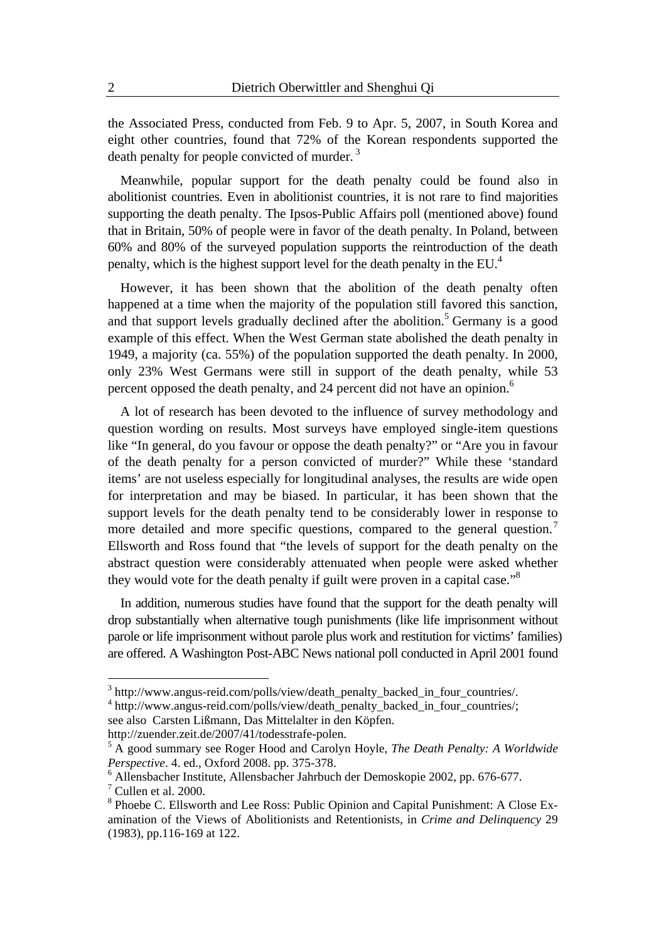the Associated Press, conducted from Feb. 9 to Apr. 5, 2007, in South Korea and eight other countries, found that 72% of the Korean respondents supported the death penalty for people convicted of murder. 3

Meanwhile, popular support for the death penalty could be found also in abolitionist countries. Even in abolitionist countries, it is not rare to find majorities supporting the death penalty. The Ipsos-Public Affairs poll (mentioned above) found that in Britain, 50% of people were in favor of the death penalty. In Poland, between 60% and 80% of the surveyed population supports the reintroduction of the death penalty, which is the highest support level for the death penalty in the EU.<sup>4</sup>

However, it has been shown that the abolition of the death penalty often happened at a time when the majority of the population still favored this sanction, and that support levels gradually declined after the abolition.<sup>5</sup> Germany is a good example of this effect. When the West German state abolished the death penalty in 1949, a majority (ca. 55%) of the population supported the death penalty. In 2000, only 23% West Germans were still in support of the death penalty, while 53 percent opposed the death penalty, and 24 percent did not have an opinion.<sup>6</sup>

A lot of research has been devoted to the influence of survey methodology and question wording on results. Most surveys have employed single-item questions like "In general, do you favour or oppose the death penalty?" or "Are you in favour of the death penalty for a person convicted of murder?" While these 'standard items' are not useless especially for longitudinal analyses, the results are wide open for interpretation and may be biased. In particular, it has been shown that the support levels for the death penalty tend to be considerably lower in response to more detailed and more specific questions, compared to the general question.<sup>7</sup> Ellsworth and Ross found that "the levels of support for the death penalty on the abstract question were considerably attenuated when people were asked whether they would vote for the death penalty if guilt were proven in a capital case."<sup>8</sup>

In addition, numerous studies have found that the support for the death penalty will drop substantially when alternative tough punishments (like life imprisonment without parole or life imprisonment without parole plus work and restitution for victims' families) are offered. A Washington Post-ABC News national poll conducted in April 2001 found

<sup>4</sup> http://www.angus-reid.com/polls/view/death\_penalty\_backed\_in\_four\_countries/; see also Carsten Lißmann, Das Mittelalter in den Köpfen.

http://zuender.zeit.de/2007/41/todesstrafe-polen.

 3 http://www.angus-reid.com/polls/view/death\_penalty\_backed\_in\_four\_countries/.

<sup>5</sup> A good summary see Roger Hood and Carolyn Hoyle, *The Death Penalty: A Worldwide Perspective*. 4. ed., Oxford 2008. pp. 375-378.

<sup>6</sup> Allensbacher Institute, Allensbacher Jahrbuch der Demoskopie 2002, pp. 676-677.  $7$  Cullen et al. 2000.

<sup>&</sup>lt;sup>8</sup> Phoebe C. Ellsworth and Lee Ross: Public Opinion and Capital Punishment: A Close Examination of the Views of Abolitionists and Retentionists, in *Crime and Delinquency* 29 (1983), pp.116-169 at 122.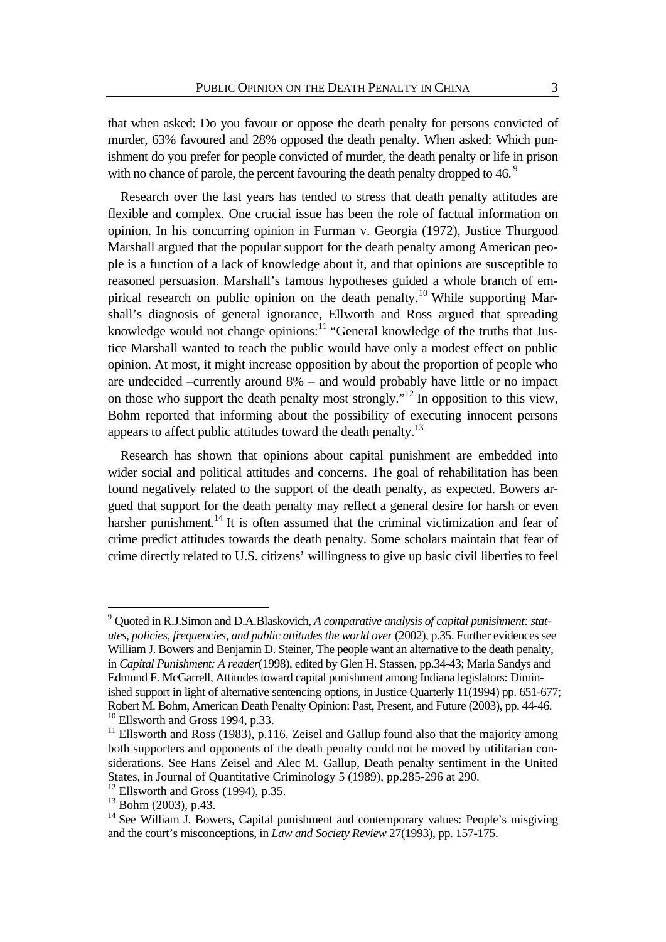that when asked: Do you favour or oppose the death penalty for persons convicted of murder, 63% favoured and 28% opposed the death penalty. When asked: Which punishment do you prefer for people convicted of murder, the death penalty or life in prison with no chance of parole, the percent favouring the death penalty dropped to 46.<sup>9</sup>

Research over the last years has tended to stress that death penalty attitudes are flexible and complex. One crucial issue has been the role of factual information on opinion. In his concurring opinion in Furman v. Georgia (1972), Justice Thurgood Marshall argued that the popular support for the death penalty among American people is a function of a lack of knowledge about it, and that opinions are susceptible to reasoned persuasion. Marshall's famous hypotheses guided a whole branch of empirical research on public opinion on the death penalty.<sup>10</sup> While supporting Marshall's diagnosis of general ignorance, Ellworth and Ross argued that spreading knowledge would not change opinions:<sup>11</sup> "General knowledge of the truths that Justice Marshall wanted to teach the public would have only a modest effect on public opinion. At most, it might increase opposition by about the proportion of people who are undecided –currently around 8% – and would probably have little or no impact on those who support the death penalty most strongly."12 In opposition to this view, Bohm reported that informing about the possibility of executing innocent persons appears to affect public attitudes toward the death penalty. $13$ 

Research has shown that opinions about capital punishment are embedded into wider social and political attitudes and concerns. The goal of rehabilitation has been found negatively related to the support of the death penalty, as expected. Bowers argued that support for the death penalty may reflect a general desire for harsh or even harsher punishment.<sup>14</sup> It is often assumed that the criminal victimization and fear of crime predict attitudes towards the death penalty. Some scholars maintain that fear of crime directly related to U.S. citizens' willingness to give up basic civil liberties to feel

1

<sup>9</sup> Quoted in R.J.Simon and D.A.Blaskovich, *A comparative analysis of capital punishment: statutes, policies, frequencies, and public attitudes the world over* (2002), p.35. Further evidences see William J. Bowers and Benjamin D. Steiner, The people want an alternative to the death penalty, in *Capital Punishment: A reader*(1998), edited by Glen H. Stassen, pp.34-43; Marla Sandys and Edmund F. McGarrell, Attitudes toward capital punishment among Indiana legislators: Diminished support in light of alternative sentencing options, in Justice Quarterly 11(1994) pp. 651-677; Robert M. Bohm, American Death Penalty Opinion: Past, Present, and Future (2003), pp. 44-46.  $10$  Ellsworth and Gross 1994, p.33.

<sup>&</sup>lt;sup>11</sup> Ellsworth and Ross (1983), p.116. Zeisel and Gallup found also that the majority among both supporters and opponents of the death penalty could not be moved by utilitarian considerations. See Hans Zeisel and Alec M. Gallup, Death penalty sentiment in the United States, in Journal of Quantitative Criminology 5 (1989), pp.285-296 at 290.

 $12$  Ellsworth and Gross (1994), p.35.

 $13$  Bohm (2003), p.43.

<sup>&</sup>lt;sup>14</sup> See William J. Bowers, Capital punishment and contemporary values: People's misgiving and the court's misconceptions, in *Law and Society Review* 27(1993), pp. 157-175.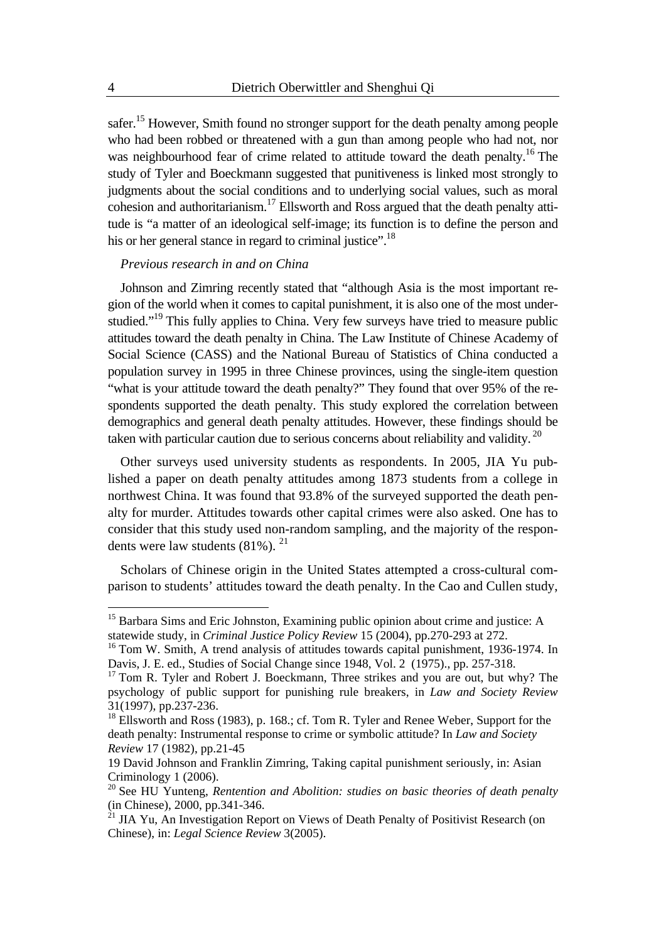safer.15 However, Smith found no stronger support for the death penalty among people who had been robbed or threatened with a gun than among people who had not, nor was neighbourhood fear of crime related to attitude toward the death penalty.<sup>16</sup> The study of Tyler and Boeckmann suggested that punitiveness is linked most strongly to judgments about the social conditions and to underlying social values, such as moral cohesion and authoritarianism.17 Ellsworth and Ross argued that the death penalty attitude is "a matter of an ideological self-image; its function is to define the person and his or her general stance in regard to criminal justice".<sup>18</sup>

#### *Previous research in and on China*

Johnson and Zimring recently stated that "although Asia is the most important region of the world when it comes to capital punishment, it is also one of the most understudied."<sup>19</sup> This fully applies to China. Very few surveys have tried to measure public attitudes toward the death penalty in China. The Law Institute of Chinese Academy of Social Science (CASS) and the National Bureau of Statistics of China conducted a population survey in 1995 in three Chinese provinces, using the single-item question "what is your attitude toward the death penalty?" They found that over 95% of the respondents supported the death penalty. This study explored the correlation between demographics and general death penalty attitudes. However, these findings should be taken with particular caution due to serious concerns about reliability and validity.  $^{20}$ 

Other surveys used university students as respondents. In 2005, JIA Yu published a paper on death penalty attitudes among 1873 students from a college in northwest China. It was found that 93.8% of the surveyed supported the death penalty for murder. Attitudes towards other capital crimes were also asked. One has to consider that this study used non-random sampling, and the majority of the respondents were law students  $(81\%)$ <sup>21</sup>

Scholars of Chinese origin in the United States attempted a cross-cultural comparison to students' attitudes toward the death penalty. In the Cao and Cullen study,

1

<sup>&</sup>lt;sup>15</sup> Barbara Sims and Eric Johnston, Examining public opinion about crime and justice: A statewide study, in *Criminal Justice Policy Review* 15 (2004), pp.270-293 at 272.

<sup>&</sup>lt;sup>16</sup> Tom W. Smith, A trend analysis of attitudes towards capital punishment, 1936-1974. In Davis, J. E. ed., Studies of Social Change since 1948, Vol. 2 (1975)., pp. 257-318.

 $17$  Tom R. Tyler and Robert J. Boeckmann, Three strikes and you are out, but why? The psychology of public support for punishing rule breakers, in *Law and Society Review* 31(1997), pp.237-236.

<sup>&</sup>lt;sup>18</sup> Ellsworth and Ross (1983), p. 168.; cf. Tom R. Tyler and Renee Weber, Support for the death penalty: Instrumental response to crime or symbolic attitude? In *Law and Society Review* 17 (1982), pp.21-45

<sup>19</sup> David Johnson and Franklin Zimring, Taking capital punishment seriously, in: Asian Criminology 1 (2006).

<sup>20</sup> See HU Yunteng, *Rentention and Abolition: studies on basic theories of death penalty* (in Chinese), 2000, pp.341-346.

 $^{21}$  JIA Yu, An Investigation Report on Views of Death Penalty of Positivist Research (on Chinese), in: *Legal Science Review* 3(2005).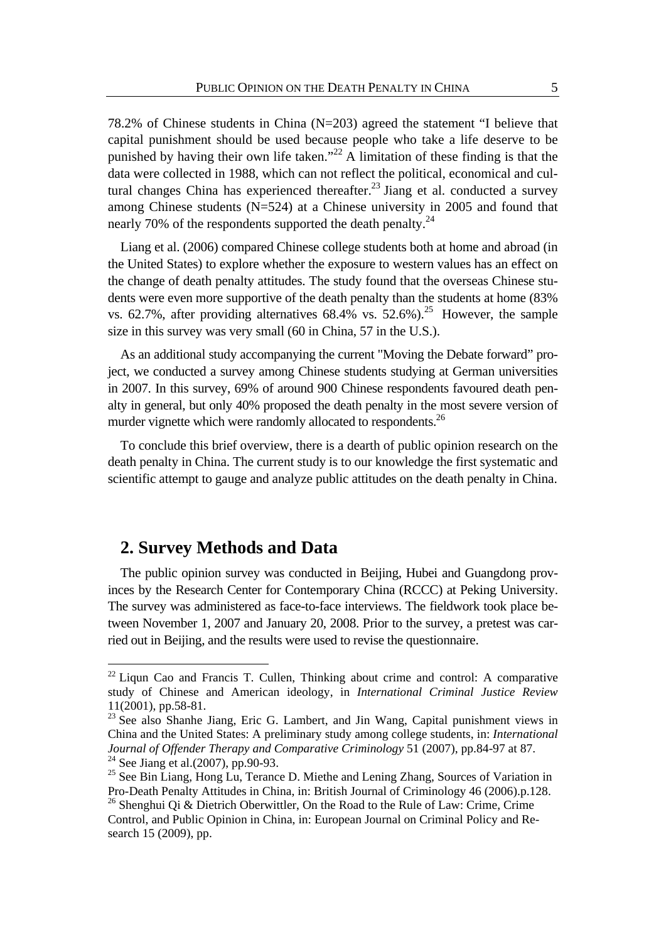78.2% of Chinese students in China (N=203) agreed the statement "I believe that capital punishment should be used because people who take a life deserve to be punished by having their own life taken."<sup>22</sup> A limitation of these finding is that the data were collected in 1988, which can not reflect the political, economical and cultural changes China has experienced thereafter.<sup>23</sup> Jiang et al. conducted a survey among Chinese students (N=524) at a Chinese university in 2005 and found that nearly 70% of the respondents supported the death penalty. $^{24}$ 

Liang et al. (2006) compared Chinese college students both at home and abroad (in the United States) to explore whether the exposure to western values has an effect on the change of death penalty attitudes. The study found that the overseas Chinese students were even more supportive of the death penalty than the students at home (83% vs. 62.7%, after providing alternatives 68.4% vs. 52.6%).<sup>25</sup> However, the sample size in this survey was very small (60 in China, 57 in the U.S.).

As an additional study accompanying the current "Moving the Debate forward" project, we conducted a survey among Chinese students studying at German universities in 2007. In this survey, 69% of around 900 Chinese respondents favoured death penalty in general, but only 40% proposed the death penalty in the most severe version of murder vignette which were randomly allocated to respondents.<sup>26</sup>

To conclude this brief overview, there is a dearth of public opinion research on the death penalty in China. The current study is to our knowledge the first systematic and scientific attempt to gauge and analyze public attitudes on the death penalty in China.

# **2. Survey Methods and Data**

1

The public opinion survey was conducted in Beijing, Hubei and Guangdong provinces by the Research Center for Contemporary China (RCCC) at Peking University. The survey was administered as face-to-face interviews. The fieldwork took place between November 1, 2007 and January 20, 2008. Prior to the survey, a pretest was carried out in Beijing, and the results were used to revise the questionnaire.

 $22$  Liqun Cao and Francis T. Cullen, Thinking about crime and control: A comparative study of Chinese and American ideology, in *International Criminal Justice Review* 11(2001), pp.58-81.

<sup>&</sup>lt;sup>23</sup> See also Shanhe Jiang, Eric G. Lambert, and Jin Wang, Capital punishment views in China and the United States: A preliminary study among college students, in: *International Journal of Offender Therapy and Comparative Criminology* 51 (2007), pp.84-97 at 87. <sup>24</sup> See Jiang et al.(2007), pp.90-93.

 $25$  See Bin Liang, Hong Lu, Terance D. Miethe and Lening Zhang, Sources of Variation in Pro-Death Penalty Attitudes in China, in: British Journal of Criminology 46 (2006).p.128.

<sup>&</sup>lt;sup>26</sup> Shenghui Qi & Dietrich Oberwittler, On the Road to the Rule of Law: Crime, Crime Control, and Public Opinion in China, in: European Journal on Criminal Policy and Research 15 (2009), pp.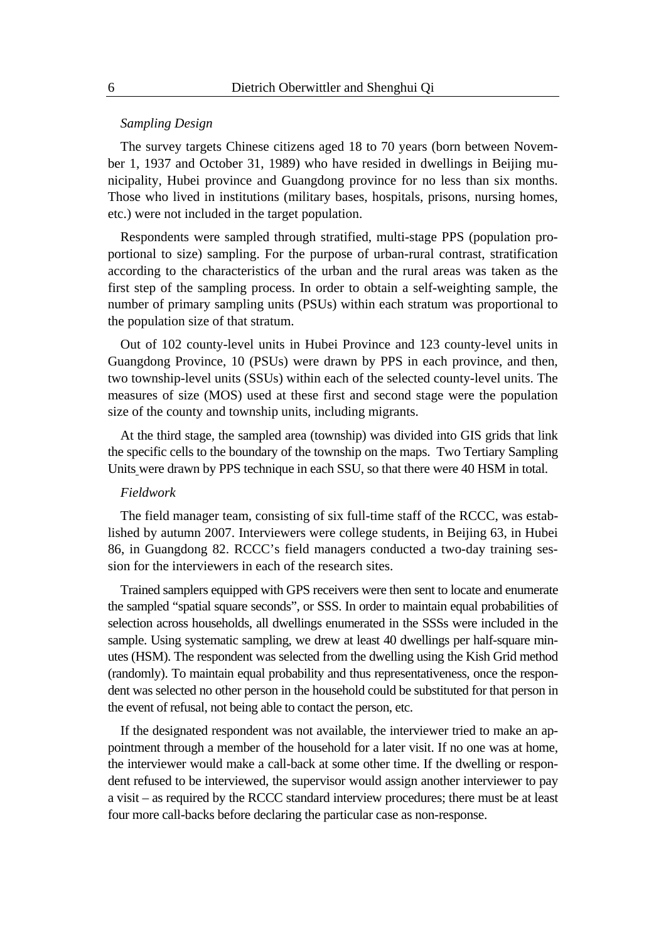#### *Sampling Design*

The survey targets Chinese citizens aged 18 to 70 years (born between November 1, 1937 and October 31, 1989) who have resided in dwellings in Beijing municipality, Hubei province and Guangdong province for no less than six months. Those who lived in institutions (military bases, hospitals, prisons, nursing homes, etc.) were not included in the target population.

Respondents were sampled through stratified, multi-stage PPS (population proportional to size) sampling. For the purpose of urban-rural contrast, stratification according to the characteristics of the urban and the rural areas was taken as the first step of the sampling process. In order to obtain a self-weighting sample, the number of primary sampling units (PSUs) within each stratum was proportional to the population size of that stratum.

Out of 102 county-level units in Hubei Province and 123 county-level units in Guangdong Province, 10 (PSUs) were drawn by PPS in each province, and then, two township-level units (SSUs) within each of the selected county-level units. The measures of size (MOS) used at these first and second stage were the population size of the county and township units, including migrants.

At the third stage, the sampled area (township) was divided into GIS grids that link the specific cells to the boundary of the township on the maps. Two Tertiary Sampling Units were drawn by PPS technique in each SSU, so that there were 40 HSM in total.

#### *Fieldwork*

The field manager team, consisting of six full-time staff of the RCCC, was established by autumn 2007. Interviewers were college students, in Beijing 63, in Hubei 86, in Guangdong 82. RCCC's field managers conducted a two-day training session for the interviewers in each of the research sites.

Trained samplers equipped with GPS receivers were then sent to locate and enumerate the sampled "spatial square seconds", or SSS. In order to maintain equal probabilities of selection across households, all dwellings enumerated in the SSSs were included in the sample. Using systematic sampling, we drew at least 40 dwellings per half-square minutes (HSM). The respondent was selected from the dwelling using the Kish Grid method (randomly). To maintain equal probability and thus representativeness, once the respondent was selected no other person in the household could be substituted for that person in the event of refusal, not being able to contact the person, etc.

If the designated respondent was not available, the interviewer tried to make an appointment through a member of the household for a later visit. If no one was at home, the interviewer would make a call-back at some other time. If the dwelling or respondent refused to be interviewed, the supervisor would assign another interviewer to pay a visit – as required by the RCCC standard interview procedures; there must be at least four more call-backs before declaring the particular case as non-response.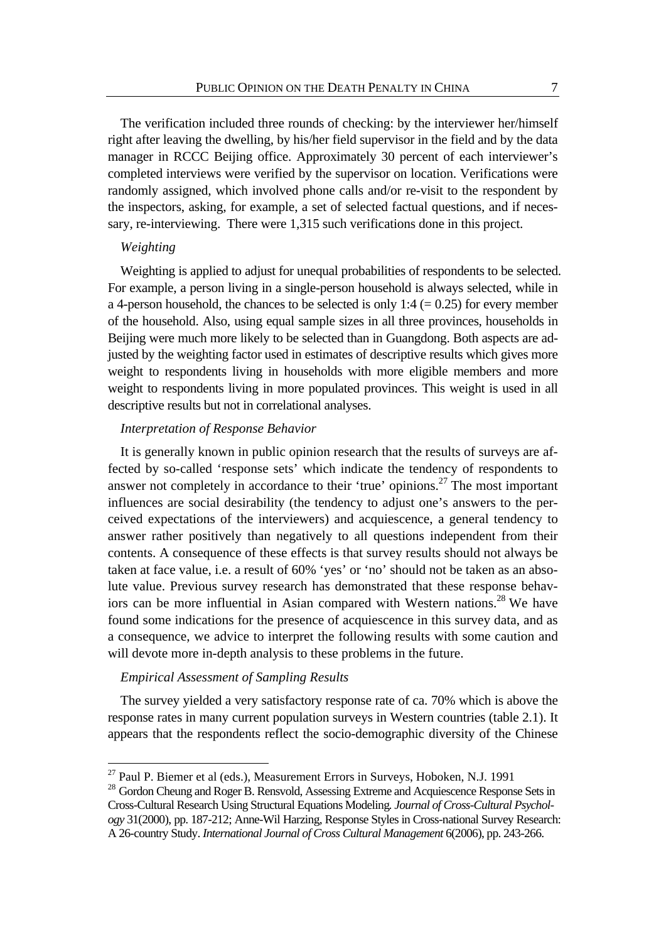The verification included three rounds of checking: by the interviewer her/himself right after leaving the dwelling, by his/her field supervisor in the field and by the data manager in RCCC Beijing office. Approximately 30 percent of each interviewer's completed interviews were verified by the supervisor on location. Verifications were randomly assigned, which involved phone calls and/or re-visit to the respondent by the inspectors, asking, for example, a set of selected factual questions, and if necessary, re-interviewing. There were 1,315 such verifications done in this project.

#### *Weighting*

1

Weighting is applied to adjust for unequal probabilities of respondents to be selected. For example, a person living in a single-person household is always selected, while in a 4-person household, the chances to be selected is only 1:4 ( $= 0.25$ ) for every member of the household. Also, using equal sample sizes in all three provinces, households in Beijing were much more likely to be selected than in Guangdong. Both aspects are adjusted by the weighting factor used in estimates of descriptive results which gives more weight to respondents living in households with more eligible members and more weight to respondents living in more populated provinces. This weight is used in all descriptive results but not in correlational analyses.

#### *Interpretation of Response Behavior*

It is generally known in public opinion research that the results of surveys are affected by so-called 'response sets' which indicate the tendency of respondents to answer not completely in accordance to their 'true' opinions.<sup>27</sup> The most important influences are social desirability (the tendency to adjust one's answers to the perceived expectations of the interviewers) and acquiescence, a general tendency to answer rather positively than negatively to all questions independent from their contents. A consequence of these effects is that survey results should not always be taken at face value, i.e. a result of 60% 'yes' or 'no' should not be taken as an absolute value. Previous survey research has demonstrated that these response behaviors can be more influential in Asian compared with Western nations.<sup>28</sup> We have found some indications for the presence of acquiescence in this survey data, and as a consequence, we advice to interpret the following results with some caution and will devote more in-depth analysis to these problems in the future.

#### *Empirical Assessment of Sampling Results*

The survey yielded a very satisfactory response rate of ca. 70% which is above the response rates in many current population surveys in Western countries (table 2.1). It appears that the respondents reflect the socio-demographic diversity of the Chinese

 $27$  Paul P. Biemer et al (eds.), Measurement Errors in Surveys, Hoboken, N.J. 1991

<sup>&</sup>lt;sup>28</sup> Gordon Cheung and Roger B. Rensvold, Assessing Extreme and Acquiescence Response Sets in Cross-Cultural Research Using Structural Equations Modeling*. Journal of Cross-Cultural Psychology* 31(2000), pp. 187-212; Anne-Wil Harzing, Response Styles in Cross-national Survey Research: A 26-country Study. *International Journal of Cross Cultural Management* 6(2006), pp. 243-266.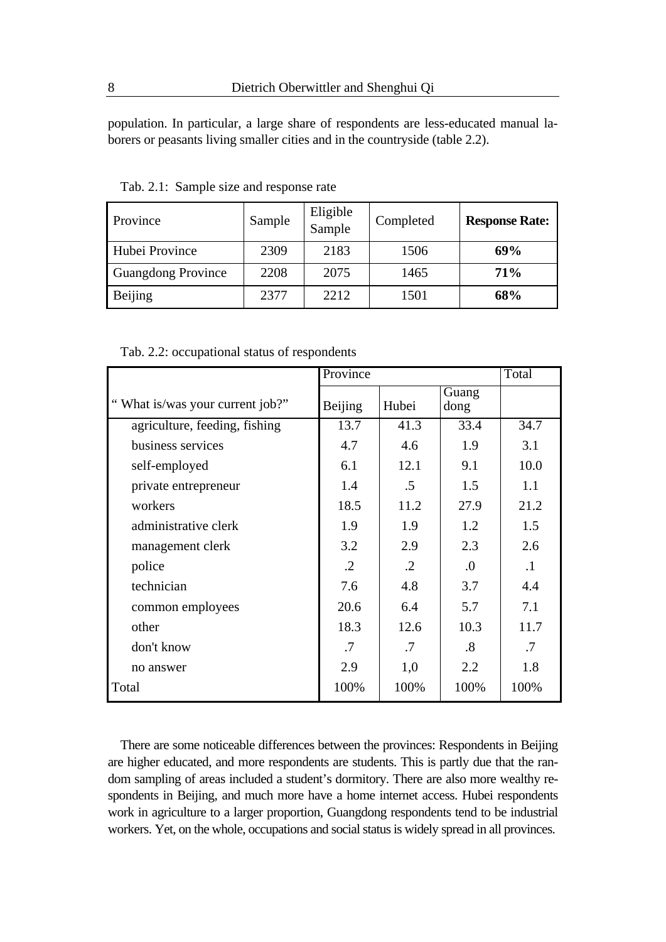population. In particular, a large share of respondents are less-educated manual laborers or peasants living smaller cities and in the countryside (table 2.2).

| Province                  | Sample | Eligible<br>Sample | Completed | <b>Response Rate:</b> |
|---------------------------|--------|--------------------|-----------|-----------------------|
| Hubei Province            | 2309   | 2183               | 1506      | 69%                   |
| <b>Guangdong Province</b> | 2208   | 2075               | 1465      | 71%                   |
| Beijing                   | 2377   | 2212               | 1501      | 68%                   |

Tab. 2.1: Sample size and response rate

Tab. 2.2: occupational status of respondents

|                                 | Province   |            |                        | Total     |
|---------------------------------|------------|------------|------------------------|-----------|
| "What is/was your current job?" | Beijing    | Hubei      | Guang<br>dong          |           |
| agriculture, feeding, fishing   | 13.7       | 41.3       | 33.4                   | 34.7      |
| business services               | 4.7        | 4.6        | 1.9                    | 3.1       |
| self-employed                   | 6.1        | 12.1       | 9.1                    | 10.0      |
| private entrepreneur            | 1.4        | .5         | 1.5                    | 1.1       |
| workers                         | 18.5       | 11.2       | 27.9                   | 21.2      |
| administrative clerk            | 1.9        | 1.9        | 1.2                    | 1.5       |
| management clerk                | 3.2        | 2.9        | 2.3                    | 2.6       |
| police                          | $\cdot$ .2 | $\cdot$ .2 | $\Omega$ .             | $\cdot$ 1 |
| technician                      | 7.6        | 4.8        | 3.7                    | 4.4       |
| common employees                | 20.6       | 6.4        | 5.7                    | 7.1       |
| other                           | 18.3       | 12.6       | 10.3                   | 11.7      |
| don't know                      | .7         | .7         | $\cdot$ <sup>8</sup> . | .7        |
| no answer                       | 2.9        | 1,0        | 2.2                    | 1.8       |
| Total                           | 100%       | 100%       | 100%                   | 100%      |

There are some noticeable differences between the provinces: Respondents in Beijing are higher educated, and more respondents are students. This is partly due that the random sampling of areas included a student's dormitory. There are also more wealthy respondents in Beijing, and much more have a home internet access. Hubei respondents work in agriculture to a larger proportion, Guangdong respondents tend to be industrial workers. Yet, on the whole, occupations and social status is widely spread in all provinces.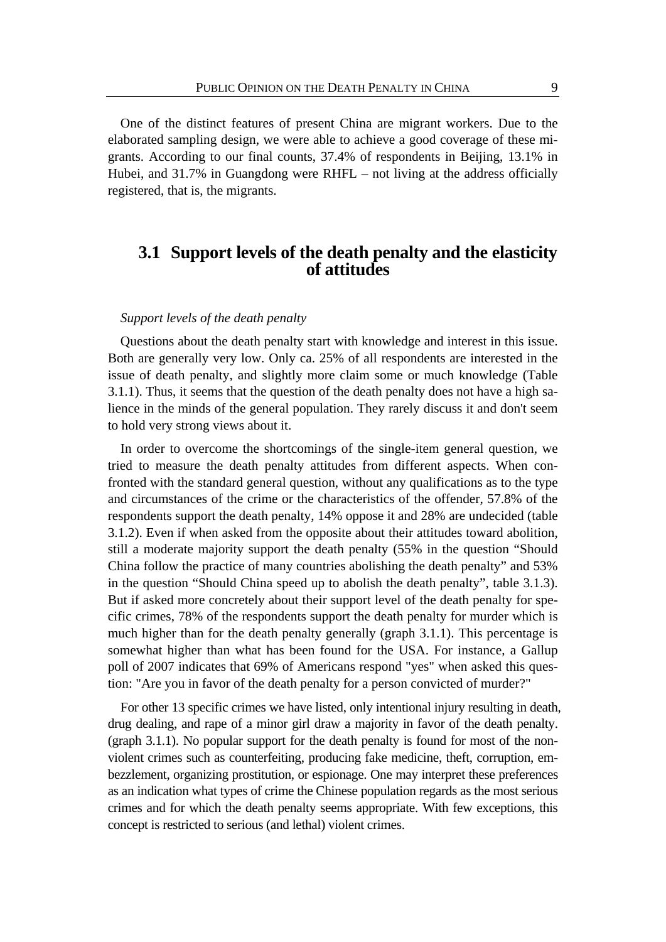One of the distinct features of present China are migrant workers. Due to the elaborated sampling design, we were able to achieve a good coverage of these migrants. According to our final counts, 37.4% of respondents in Beijing, 13.1% in Hubei, and 31.7% in Guangdong were RHFL – not living at the address officially registered, that is, the migrants.

# **3.1 Support levels of the death penalty and the elasticity of attitudes**

#### *Support levels of the death penalty*

Questions about the death penalty start with knowledge and interest in this issue. Both are generally very low. Only ca. 25% of all respondents are interested in the issue of death penalty, and slightly more claim some or much knowledge (Table 3.1.1). Thus, it seems that the question of the death penalty does not have a high salience in the minds of the general population. They rarely discuss it and don't seem to hold very strong views about it.

In order to overcome the shortcomings of the single-item general question, we tried to measure the death penalty attitudes from different aspects. When confronted with the standard general question, without any qualifications as to the type and circumstances of the crime or the characteristics of the offender, 57.8% of the respondents support the death penalty, 14% oppose it and 28% are undecided (table 3.1.2). Even if when asked from the opposite about their attitudes toward abolition, still a moderate majority support the death penalty (55% in the question "Should China follow the practice of many countries abolishing the death penalty" and 53% in the question "Should China speed up to abolish the death penalty", table 3.1.3). But if asked more concretely about their support level of the death penalty for specific crimes, 78% of the respondents support the death penalty for murder which is much higher than for the death penalty generally (graph 3.1.1). This percentage is somewhat higher than what has been found for the USA. For instance, a Gallup poll of 2007 indicates that 69% of Americans respond "yes" when asked this question: "Are you in favor of the death penalty for a person convicted of murder?"

For other 13 specific crimes we have listed, only intentional injury resulting in death, drug dealing, and rape of a minor girl draw a majority in favor of the death penalty. (graph 3.1.1). No popular support for the death penalty is found for most of the nonviolent crimes such as counterfeiting, producing fake medicine, theft, corruption, embezzlement, organizing prostitution, or espionage. One may interpret these preferences as an indication what types of crime the Chinese population regards as the most serious crimes and for which the death penalty seems appropriate. With few exceptions, this concept is restricted to serious (and lethal) violent crimes.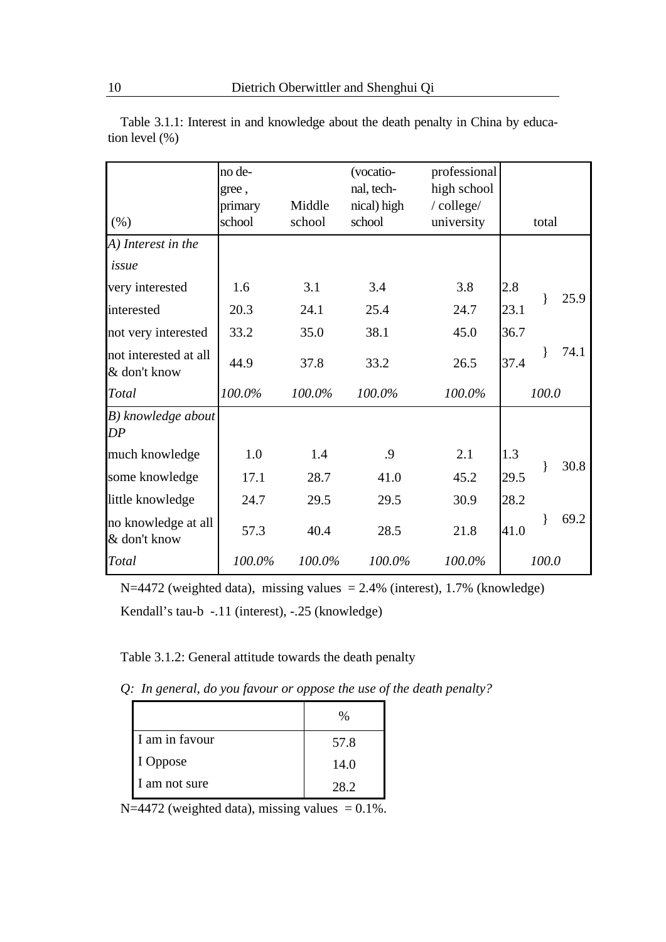|                                       | no de-  |        | (vocatio-   | professional |      |       |      |
|---------------------------------------|---------|--------|-------------|--------------|------|-------|------|
|                                       | gree,   |        | nal, tech-  | high school  |      |       |      |
|                                       | primary | Middle | nical) high | /college/    |      |       |      |
| (% )                                  | school  | school | school      | university   |      | total |      |
| A) Interest in the                    |         |        |             |              |      |       |      |
| issue                                 |         |        |             |              |      |       |      |
| very interested                       | 1.6     | 3.1    | 3.4         | 3.8          | 2.8  |       | 25.9 |
| interested                            | 20.3    | 24.1   | 25.4        | 24.7         | 23.1 |       |      |
| not very interested                   | 33.2    | 35.0   | 38.1        | 45.0         | 36.7 |       |      |
| not interested at all<br>& don't know | 44.9    | 37.8   | 33.2        | 26.5         | 37.4 |       | 74.1 |
| Total                                 | 100.0%  | 100.0% | 100.0%      | 100.0%       |      | 100.0 |      |
| B) knowledge about<br>DP              |         |        |             |              |      |       |      |
| much knowledge                        | 1.0     | 1.4    | .9          | 2.1          | 1.3  |       |      |
| some knowledge                        | 17.1    | 28.7   | 41.0        | 45.2         | 29.5 | ł     | 30.8 |
| little knowledge                      | 24.7    | 29.5   | 29.5        | 30.9         | 28.2 |       |      |
| no knowledge at all<br>& don't know   | 57.3    | 40.4   | 28.5        | 21.8         | 41.0 |       | 69.2 |
| Total                                 | 100.0%  | 100.0% | 100.0%      | 100.0%       |      | 100.0 |      |

Table 3.1.1: Interest in and knowledge about the death penalty in China by education level (%)

 $N=4472$  (weighted data), missing values = 2.4% (interest), 1.7% (knowledge) Kendall's tau-b -.11 (interest), -.25 (knowledge)

### Table 3.1.2: General attitude towards the death penalty

*Q: In general, do you favour or oppose the use of the death penalty?* 

|                | $\%$ |
|----------------|------|
| I am in favour | 57.8 |
| I Oppose       | 14.0 |
| I am not sure  | 282  |

 $N=4472$  (weighted data), missing values = 0.1%.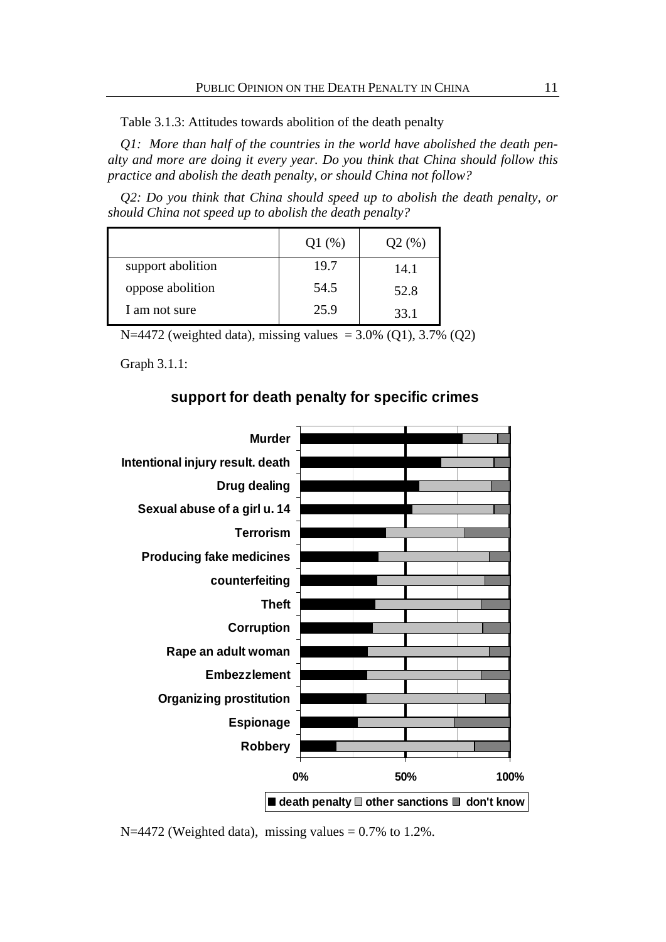Table 3.1.3: Attitudes towards abolition of the death penalty

*Q1: More than half of the countries in the world have abolished the death penalty and more are doing it every year. Do you think that China should follow this practice and abolish the death penalty, or should China not follow?* 

*Q2: Do you think that China should speed up to abolish the death penalty, or should China not speed up to abolish the death penalty?* 

|                   | Q1(%) | Q2(%) |
|-------------------|-------|-------|
| support abolition | 19.7  | 14.1  |
| oppose abolition  | 54.5  | 52.8  |
| I am not sure     | 25.9  | 33.1  |

N=4472 (weighted data), missing values =  $3.0\%$  (Q1),  $3.7\%$  (Q2)

Graph 3.1.1:

### **support for death penalty for specific crimes**



 $N=4472$  (Weighted data), missing values = 0.7% to 1.2%.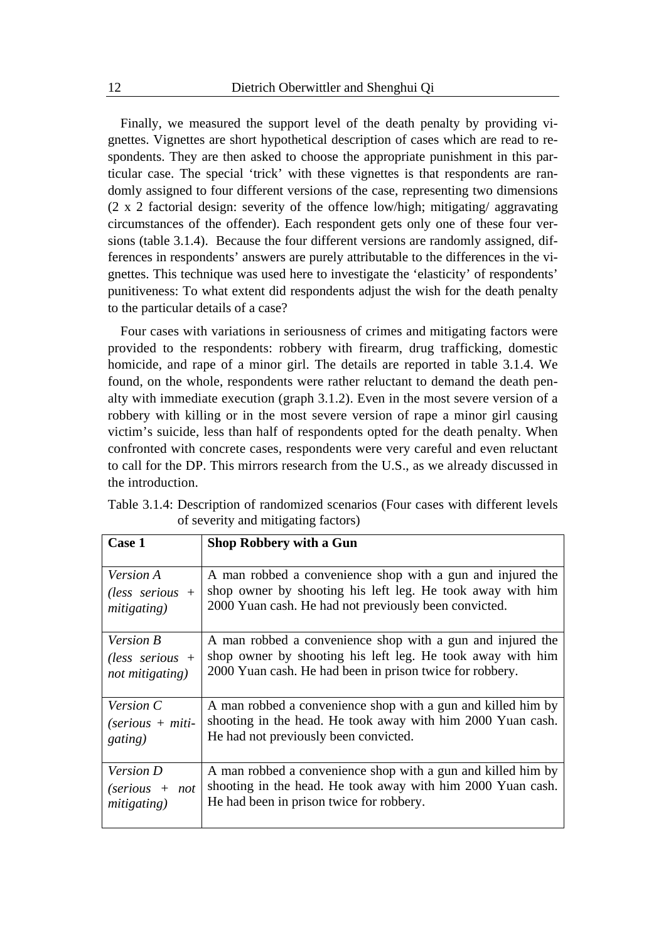Finally, we measured the support level of the death penalty by providing vignettes. Vignettes are short hypothetical description of cases which are read to respondents. They are then asked to choose the appropriate punishment in this particular case. The special 'trick' with these vignettes is that respondents are randomly assigned to four different versions of the case, representing two dimensions (2 x 2 factorial design: severity of the offence low/high; mitigating/ aggravating circumstances of the offender). Each respondent gets only one of these four versions (table 3.1.4). Because the four different versions are randomly assigned, differences in respondents' answers are purely attributable to the differences in the vignettes. This technique was used here to investigate the 'elasticity' of respondents' punitiveness: To what extent did respondents adjust the wish for the death penalty to the particular details of a case?

Four cases with variations in seriousness of crimes and mitigating factors were provided to the respondents: robbery with firearm, drug trafficking, domestic homicide, and rape of a minor girl. The details are reported in table 3.1.4. We found, on the whole, respondents were rather reluctant to demand the death penalty with immediate execution (graph 3.1.2). Even in the most severe version of a robbery with killing or in the most severe version of rape a minor girl causing victim's suicide, less than half of respondents opted for the death penalty. When confronted with concrete cases, respondents were very careful and even reluctant to call for the DP. This mirrors research from the U.S., as we already discussed in the introduction.

| Case 1                          | <b>Shop Robbery with a Gun</b>                               |
|---------------------------------|--------------------------------------------------------------|
| <i>Version A</i>                | A man robbed a convenience shop with a gun and injured the   |
| (less serious $+$               | shop owner by shooting his left leg. He took away with him   |
| <i>mitigating</i> )             | 2000 Yuan cash. He had not previously been convicted.        |
| <i>Version B</i>                | A man robbed a convenience shop with a gun and injured the   |
| (less serious $+$               | shop owner by shooting his left leg. He took away with him   |
| not mitigating)                 | 2000 Yuan cash. He had been in prison twice for robbery.     |
| Version C                       | A man robbed a convenience shop with a gun and killed him by |
| $(\text{series} + \text{miti})$ | shooting in the head. He took away with him 2000 Yuan cash.  |
| <i>gating</i> )                 | He had not previously been convicted.                        |
| Version D                       | A man robbed a convenience shop with a gun and killed him by |
| $\text{(series + not)}$         | shooting in the head. He took away with him 2000 Yuan cash.  |
| <i>mitigating</i> )             | He had been in prison twice for robbery.                     |

Table 3.1.4: Description of randomized scenarios (Four cases with different levels of severity and mitigating factors)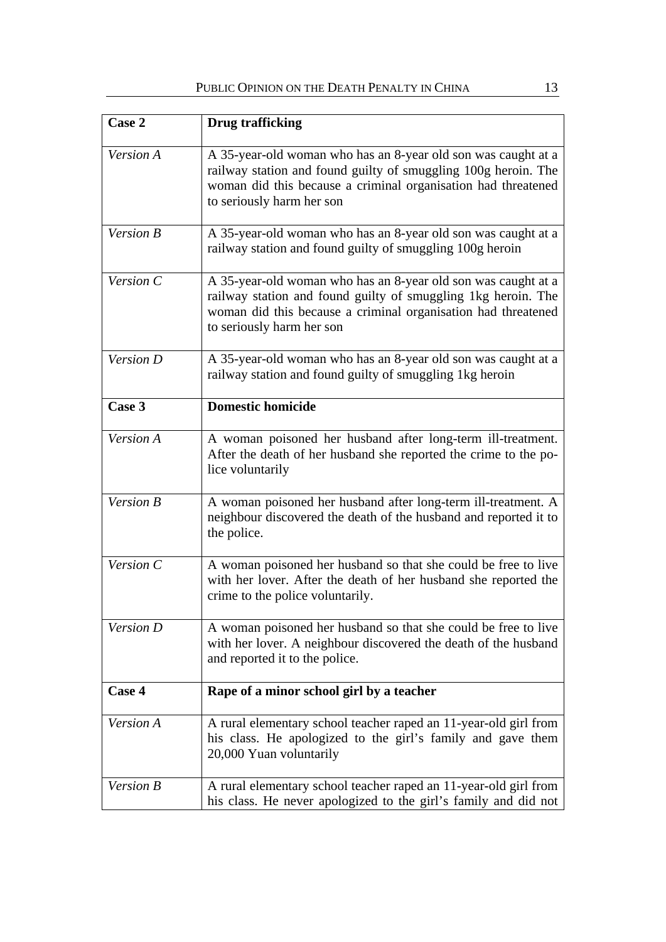| Case 2    | <b>Drug trafficking</b>                                                                                                                                                                                                       |
|-----------|-------------------------------------------------------------------------------------------------------------------------------------------------------------------------------------------------------------------------------|
| Version A | A 35-year-old woman who has an 8-year old son was caught at a<br>railway station and found guilty of smuggling 100g heroin. The<br>woman did this because a criminal organisation had threatened<br>to seriously harm her son |
| Version B | A 35-year-old woman who has an 8-year old son was caught at a<br>railway station and found guilty of smuggling 100g heroin                                                                                                    |
| Version C | A 35-year-old woman who has an 8-year old son was caught at a<br>railway station and found guilty of smuggling 1kg heroin. The<br>woman did this because a criminal organisation had threatened<br>to seriously harm her son  |
| Version D | A 35-year-old woman who has an 8-year old son was caught at a<br>railway station and found guilty of smuggling 1kg heroin                                                                                                     |
| Case 3    | <b>Domestic homicide</b>                                                                                                                                                                                                      |
| Version A | A woman poisoned her husband after long-term ill-treatment.<br>After the death of her husband she reported the crime to the po-<br>lice voluntarily                                                                           |
| Version B | A woman poisoned her husband after long-term ill-treatment. A<br>neighbour discovered the death of the husband and reported it to<br>the police.                                                                              |
| Version C | A woman poisoned her husband so that she could be free to live<br>with her lover. After the death of her husband she reported the<br>crime to the police voluntarily.                                                         |
| Version D | A woman poisoned her husband so that she could be free to live<br>with her lover. A neighbour discovered the death of the husband<br>and reported it to the police.                                                           |
| Case 4    | Rape of a minor school girl by a teacher                                                                                                                                                                                      |
| Version A | A rural elementary school teacher raped an 11-year-old girl from<br>his class. He apologized to the girl's family and gave them<br>20,000 Yuan voluntarily                                                                    |
| Version B | A rural elementary school teacher raped an 11-year-old girl from<br>his class. He never apologized to the girl's family and did not                                                                                           |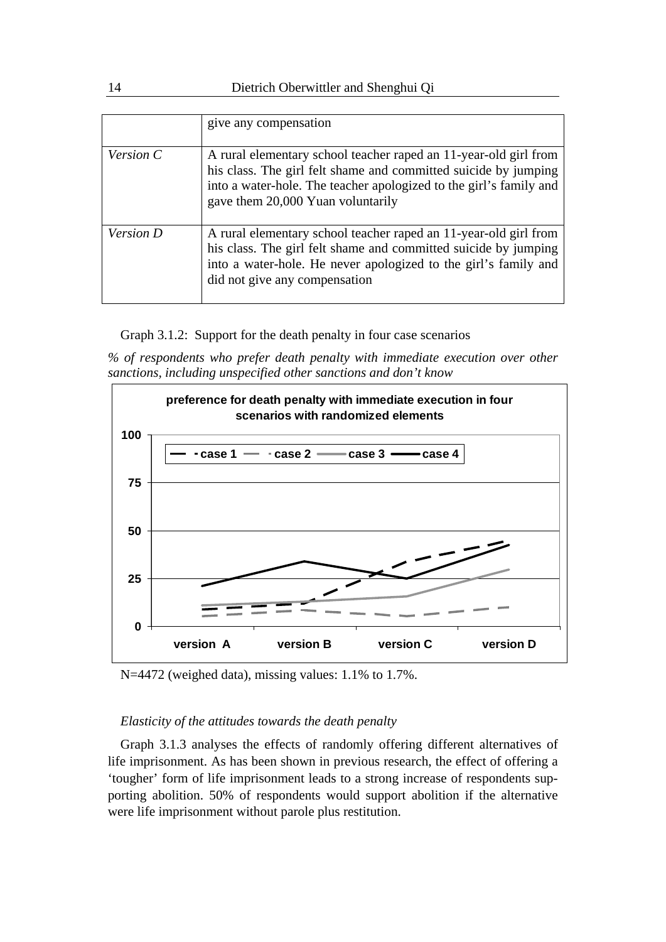|           | give any compensation                                                                                                                                                                                                                          |
|-----------|------------------------------------------------------------------------------------------------------------------------------------------------------------------------------------------------------------------------------------------------|
| Version C | A rural elementary school teacher raped an 11-year-old girl from<br>his class. The girl felt shame and committed suicide by jumping<br>into a water-hole. The teacher apologized to the girl's family and<br>gave them 20,000 Yuan voluntarily |
| Version D | A rural elementary school teacher raped an 11-year-old girl from<br>his class. The girl felt shame and committed suicide by jumping<br>into a water-hole. He never apologized to the girl's family and<br>did not give any compensation        |

Graph 3.1.2: Support for the death penalty in four case scenarios

*% of respondents who prefer death penalty with immediate execution over other sanctions, including unspecified other sanctions and don't know* 



N=4472 (weighed data), missing values: 1.1% to 1.7%.

#### *Elasticity of the attitudes towards the death penalty*

Graph 3.1.3 analyses the effects of randomly offering different alternatives of life imprisonment. As has been shown in previous research, the effect of offering a 'tougher' form of life imprisonment leads to a strong increase of respondents supporting abolition. 50% of respondents would support abolition if the alternative were life imprisonment without parole plus restitution.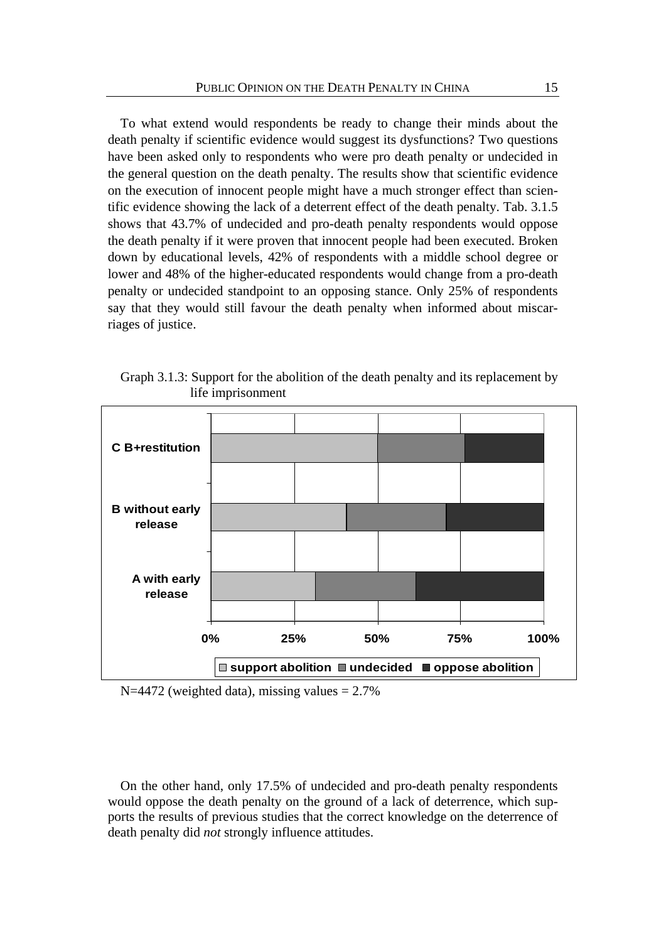To what extend would respondents be ready to change their minds about the death penalty if scientific evidence would suggest its dysfunctions? Two questions have been asked only to respondents who were pro death penalty or undecided in the general question on the death penalty. The results show that scientific evidence on the execution of innocent people might have a much stronger effect than scientific evidence showing the lack of a deterrent effect of the death penalty. Tab. 3.1.5 shows that 43.7% of undecided and pro-death penalty respondents would oppose the death penalty if it were proven that innocent people had been executed. Broken down by educational levels, 42% of respondents with a middle school degree or lower and 48% of the higher-educated respondents would change from a pro-death penalty or undecided standpoint to an opposing stance. Only 25% of respondents say that they would still favour the death penalty when informed about miscarriages of justice.

Graph 3.1.3: Support for the abolition of the death penalty and its replacement by life imprisonment



 $N=4472$  (weighted data), missing values = 2.7%

On the other hand, only 17.5% of undecided and pro-death penalty respondents would oppose the death penalty on the ground of a lack of deterrence, which supports the results of previous studies that the correct knowledge on the deterrence of death penalty did *not* strongly influence attitudes.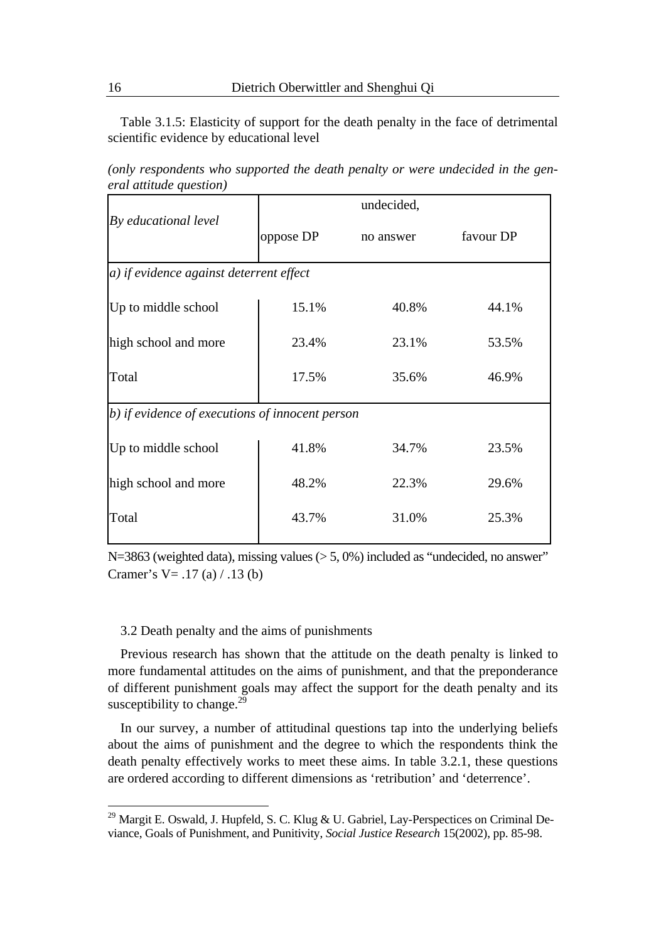Table 3.1.5: Elasticity of support for the death penalty in the face of detrimental scientific evidence by educational level

*(only respondents who supported the death penalty or were undecided in the general attitude question)* 

|                                                 |           | undecided, |           |  |  |  |
|-------------------------------------------------|-----------|------------|-----------|--|--|--|
| By educational level                            | oppose DP | no answer  | favour DP |  |  |  |
| a) if evidence against deterrent effect         |           |            |           |  |  |  |
| Up to middle school                             | 15.1%     | 40.8%      | 44.1%     |  |  |  |
| high school and more                            | 23.4%     | 23.1%      | 53.5%     |  |  |  |
| Total                                           | 17.5%     | 35.6%      | 46.9%     |  |  |  |
| b) if evidence of executions of innocent person |           |            |           |  |  |  |
| Up to middle school                             | 41.8%     | 34.7%      | 23.5%     |  |  |  |
| high school and more                            | 48.2%     | 22.3%      | 29.6%     |  |  |  |
| Total                                           | 43.7%     | 31.0%      | 25.3%     |  |  |  |

N=3863 (weighted data), missing values ( $> 5,0\%$ ) included as "undecided, no answer" Cramer's V =  $.17$  (a) /  $.13$  (b)

#### 3.2 Death penalty and the aims of punishments

Previous research has shown that the attitude on the death penalty is linked to more fundamental attitudes on the aims of punishment, and that the preponderance of different punishment goals may affect the support for the death penalty and its susceptibility to change.<sup>29</sup>

In our survey, a number of attitudinal questions tap into the underlying beliefs about the aims of punishment and the degree to which the respondents think the death penalty effectively works to meet these aims. In table 3.2.1, these questions are ordered according to different dimensions as 'retribution' and 'deterrence'.

<u>.</u>

<sup>&</sup>lt;sup>29</sup> Margit E. Oswald, J. Hupfeld, S. C. Klug & U. Gabriel, Lay-Perspectices on Criminal Deviance, Goals of Punishment, and Punitivity, *Social Justice Research* 15(2002), pp. 85-98.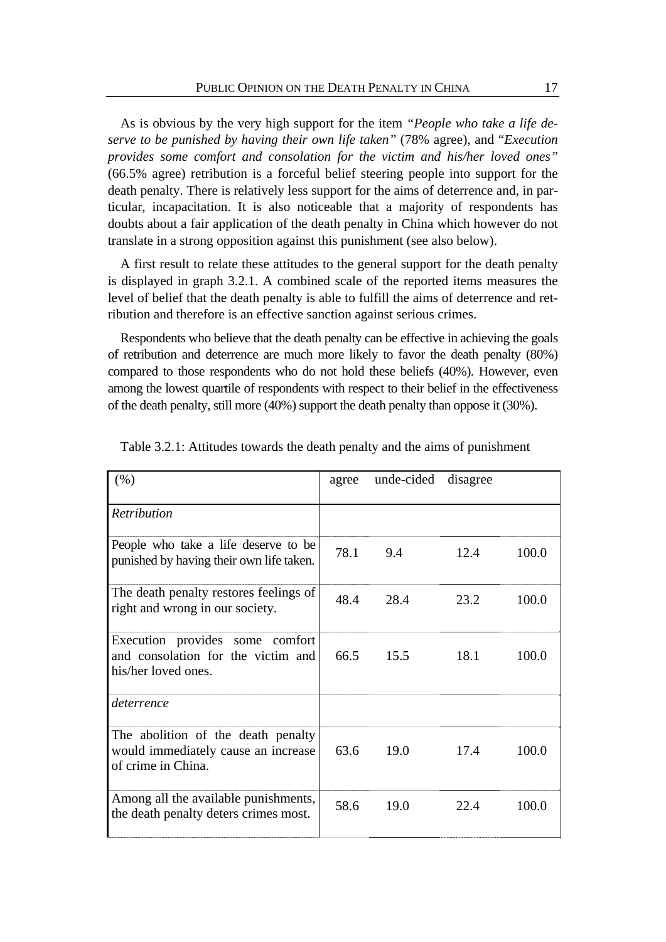As is obvious by the very high support for the item *"People who take a life deserve to be punished by having their own life taken"* (78% agree), and "*Execution provides some comfort and consolation for the victim and his/her loved ones"*  (66.5% agree) retribution is a forceful belief steering people into support for the death penalty. There is relatively less support for the aims of deterrence and, in particular, incapacitation. It is also noticeable that a majority of respondents has doubts about a fair application of the death penalty in China which however do not translate in a strong opposition against this punishment (see also below).

A first result to relate these attitudes to the general support for the death penalty is displayed in graph 3.2.1. A combined scale of the reported items measures the level of belief that the death penalty is able to fulfill the aims of deterrence and retribution and therefore is an effective sanction against serious crimes.

Respondents who believe that the death penalty can be effective in achieving the goals of retribution and deterrence are much more likely to favor the death penalty (80%) compared to those respondents who do not hold these beliefs (40%). However, even among the lowest quartile of respondents with respect to their belief in the effectiveness of the death penalty, still more (40%) support the death penalty than oppose it (30%).

| (% )                                                                                            | agree | unde-cided | disagree |       |
|-------------------------------------------------------------------------------------------------|-------|------------|----------|-------|
| <b>Retribution</b>                                                                              |       |            |          |       |
| People who take a life deserve to be<br>punished by having their own life taken.                | 78.1  | 9.4        | 12.4     | 100.0 |
| The death penalty restores feelings of<br>right and wrong in our society.                       | 48.4  | 28.4       | 23.2     | 100.0 |
| Execution provides some comfort<br>and consolation for the victim and<br>his/her loved ones.    | 66.5  | 15.5       | 18.1     | 100.0 |
| deterrence                                                                                      |       |            |          |       |
| The abolition of the death penalty<br>would immediately cause an increase<br>of crime in China. | 63.6  | 19.0       | 17.4     | 100.0 |
| Among all the available punishments,<br>the death penalty deters crimes most.                   | 58.6  | 19.0       | 22.4     | 100.0 |

| Table 3.2.1: Attitudes towards the death penalty and the aims of punishment |  |
|-----------------------------------------------------------------------------|--|
|-----------------------------------------------------------------------------|--|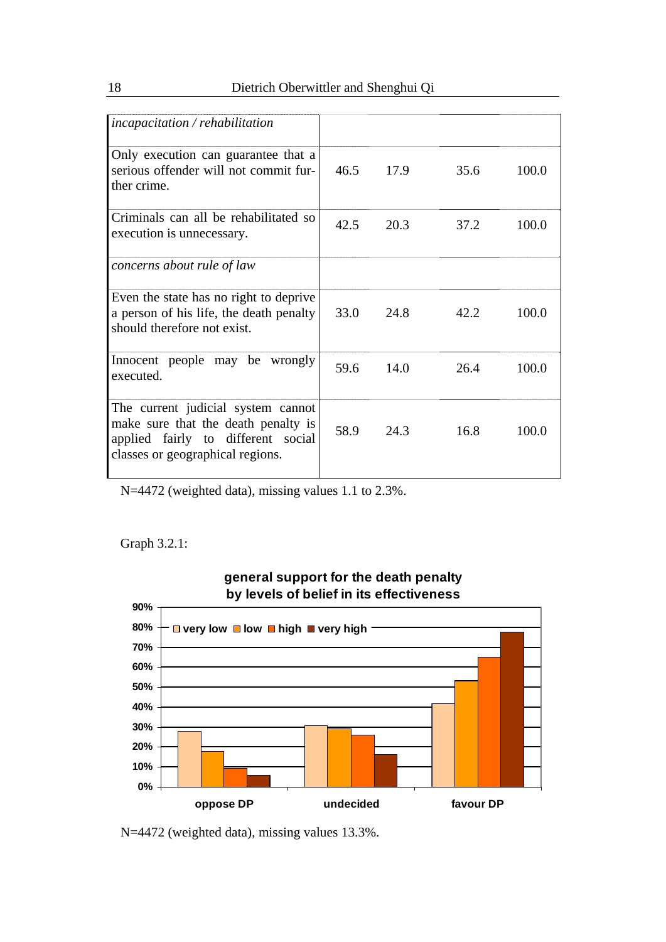| $incapacitation$ / rehabilitation                                                                                                                   |      |      |      |       |
|-----------------------------------------------------------------------------------------------------------------------------------------------------|------|------|------|-------|
| Only execution can guarantee that a<br>serious offender will not commit fur-<br>ther crime.                                                         | 46.5 | 17.9 | 35.6 | 100.0 |
| Criminals can all be rehabilitated so<br>execution is unnecessary.                                                                                  | 42.5 | 20.3 | 37.2 | 100.0 |
| concerns about rule of law                                                                                                                          |      |      |      |       |
| Even the state has no right to deprive<br>a person of his life, the death penalty<br>should therefore not exist.                                    | 33.0 | 24.8 | 42.2 | 100.0 |
| Innocent people may be wrongly<br>executed.                                                                                                         | 59.6 | 14.0 | 26.4 | 100.0 |
| The current judicial system cannot<br>make sure that the death penalty is<br>applied fairly to different social<br>classes or geographical regions. | 58.9 | 24.3 | 16.8 | 100.0 |

N=4472 (weighted data), missing values 1.1 to 2.3%.

## Graph 3.2.1:



# **general support for the death penalty by levels of belief in its effectiveness**

N=4472 (weighted data), missing values 13.3%.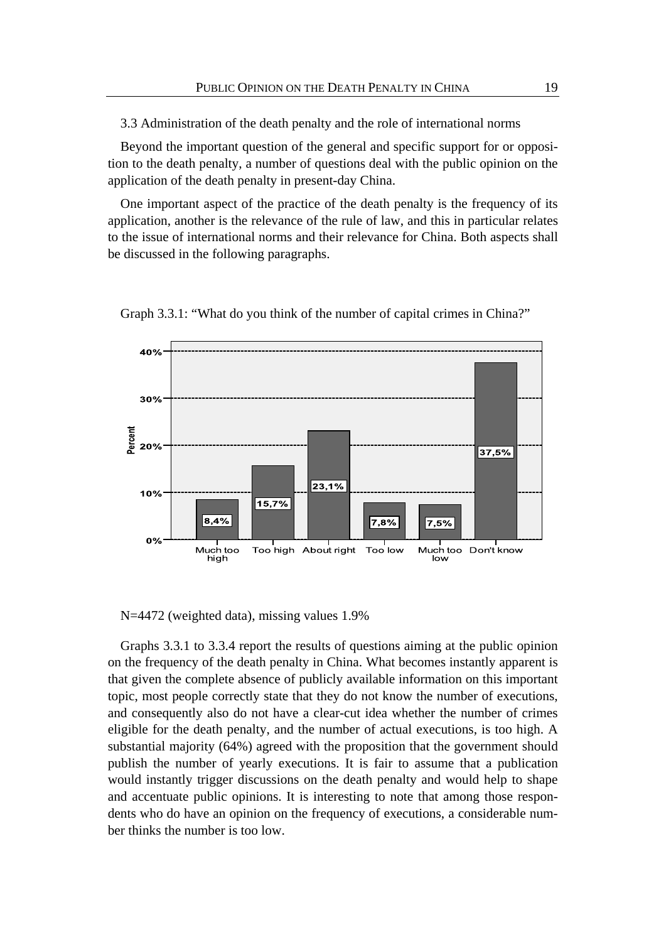3.3 Administration of the death penalty and the role of international norms

Beyond the important question of the general and specific support for or opposition to the death penalty, a number of questions deal with the public opinion on the application of the death penalty in present-day China.

One important aspect of the practice of the death penalty is the frequency of its application, another is the relevance of the rule of law, and this in particular relates to the issue of international norms and their relevance for China. Both aspects shall be discussed in the following paragraphs.



Graph 3.3.1: "What do you think of the number of capital crimes in China?"

N=4472 (weighted data), missing values 1.9%

Graphs 3.3.1 to 3.3.4 report the results of questions aiming at the public opinion on the frequency of the death penalty in China. What becomes instantly apparent is that given the complete absence of publicly available information on this important topic, most people correctly state that they do not know the number of executions, and consequently also do not have a clear-cut idea whether the number of crimes eligible for the death penalty, and the number of actual executions, is too high. A substantial majority (64%) agreed with the proposition that the government should publish the number of yearly executions. It is fair to assume that a publication would instantly trigger discussions on the death penalty and would help to shape and accentuate public opinions. It is interesting to note that among those respondents who do have an opinion on the frequency of executions, a considerable number thinks the number is too low.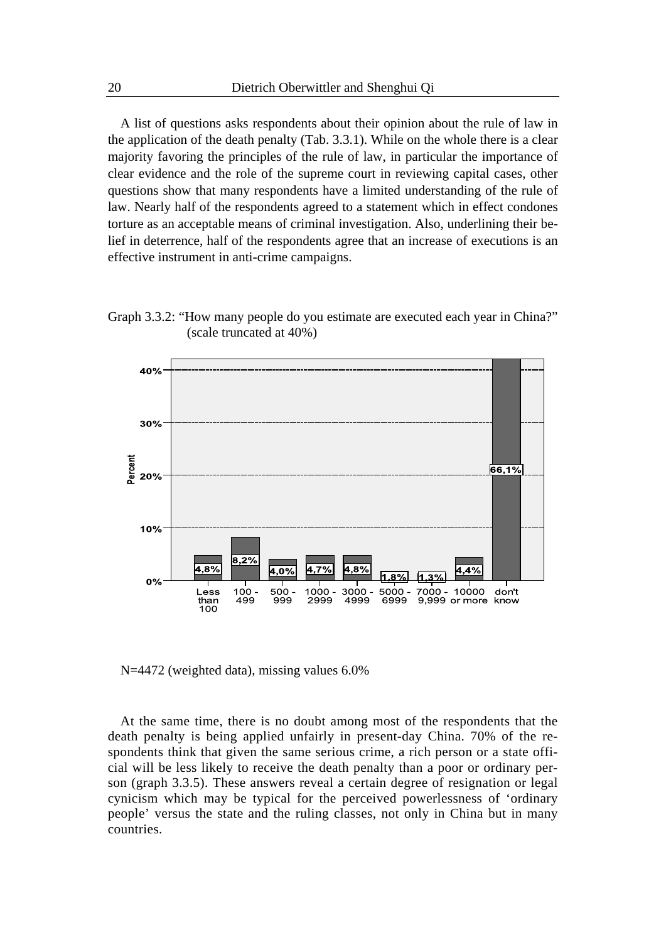A list of questions asks respondents about their opinion about the rule of law in the application of the death penalty (Tab. 3.3.1). While on the whole there is a clear majority favoring the principles of the rule of law, in particular the importance of clear evidence and the role of the supreme court in reviewing capital cases, other questions show that many respondents have a limited understanding of the rule of law. Nearly half of the respondents agreed to a statement which in effect condones torture as an acceptable means of criminal investigation. Also, underlining their belief in deterrence, half of the respondents agree that an increase of executions is an effective instrument in anti-crime campaigns.

Graph 3.3.2: "How many people do you estimate are executed each year in China?" (scale truncated at 40%)



N=4472 (weighted data), missing values 6.0%

At the same time, there is no doubt among most of the respondents that the death penalty is being applied unfairly in present-day China. 70% of the respondents think that given the same serious crime, a rich person or a state official will be less likely to receive the death penalty than a poor or ordinary person (graph 3.3.5). These answers reveal a certain degree of resignation or legal cynicism which may be typical for the perceived powerlessness of 'ordinary people' versus the state and the ruling classes, not only in China but in many countries.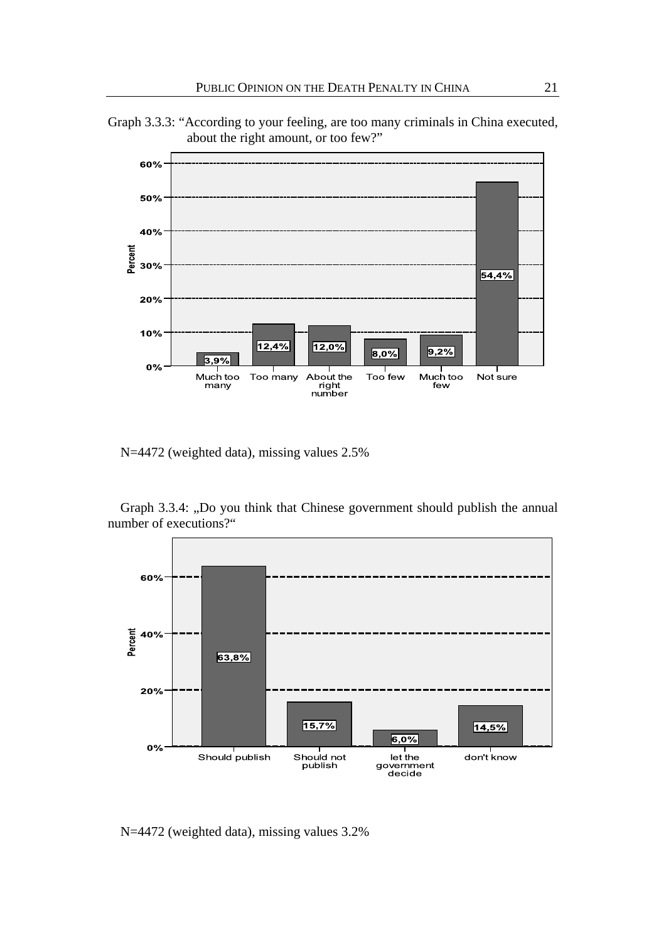



N=4472 (weighted data), missing values 2.5%

Graph 3.3.4: "Do you think that Chinese government should publish the annual number of executions?"



N=4472 (weighted data), missing values 3.2%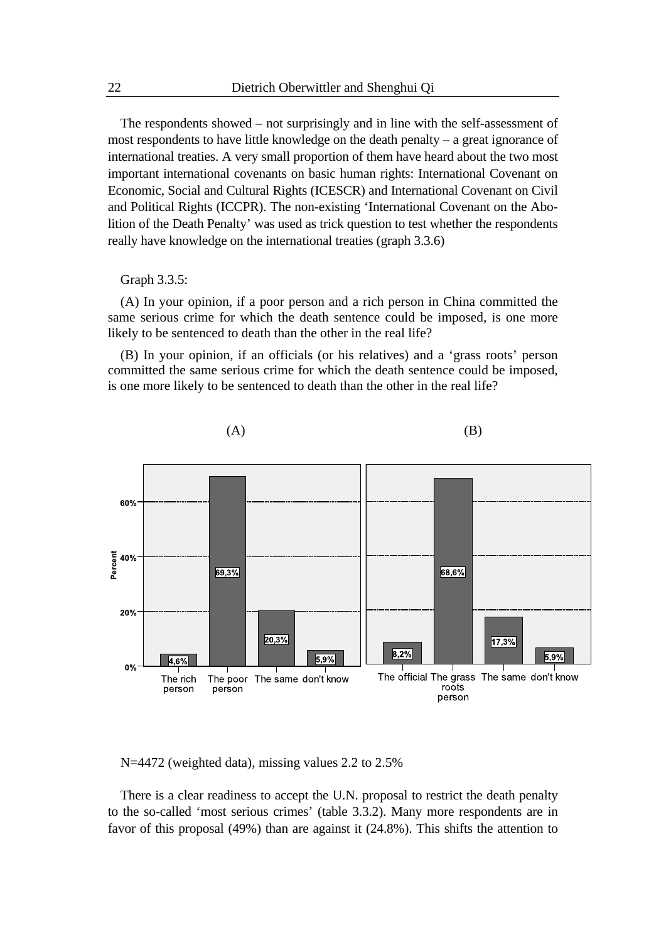The respondents showed – not surprisingly and in line with the self-assessment of most respondents to have little knowledge on the death penalty – a great ignorance of international treaties. A very small proportion of them have heard about the two most important international covenants on basic human rights: International Covenant on Economic, Social and Cultural Rights (ICESCR) and International Covenant on Civil and Political Rights (ICCPR). The non-existing 'International Covenant on the Abolition of the Death Penalty' was used as trick question to test whether the respondents really have knowledge on the international treaties (graph 3.3.6)

Graph 3.3.5:

(A) In your opinion, if a poor person and a rich person in China committed the same serious crime for which the death sentence could be imposed, is one more likely to be sentenced to death than the other in the real life?

(B) In your opinion, if an officials (or his relatives) and a 'grass roots' person committed the same serious crime for which the death sentence could be imposed, is one more likely to be sentenced to death than the other in the real life?



 $(A)$  (B)

N=4472 (weighted data), missing values 2.2 to 2.5%

There is a clear readiness to accept the U.N. proposal to restrict the death penalty to the so-called 'most serious crimes' (table 3.3.2). Many more respondents are in favor of this proposal (49%) than are against it (24.8%). This shifts the attention to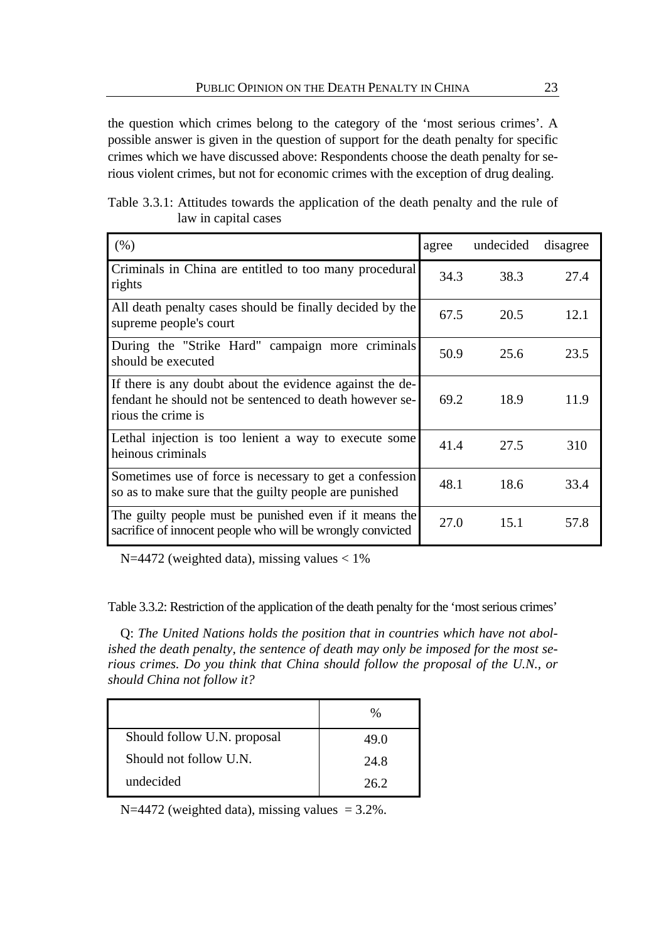the question which crimes belong to the category of the 'most serious crimes'. A possible answer is given in the question of support for the death penalty for specific crimes which we have discussed above: Respondents choose the death penalty for serious violent crimes, but not for economic crimes with the exception of drug dealing.

| Table 3.3.1: Attitudes towards the application of the death penalty and the rule of |                      |  |  |  |  |  |
|-------------------------------------------------------------------------------------|----------------------|--|--|--|--|--|
|                                                                                     | law in capital cases |  |  |  |  |  |

| (% )                                                                                                                                      | agree | undecided | disagree |
|-------------------------------------------------------------------------------------------------------------------------------------------|-------|-----------|----------|
| Criminals in China are entitled to too many procedural<br>rights                                                                          | 34.3  | 38.3      | 27.4     |
| All death penalty cases should be finally decided by the<br>supreme people's court                                                        | 67.5  | 20.5      | 12.1     |
| During the "Strike Hard" campaign more criminals<br>should be executed                                                                    | 50.9  | 25.6      | 23.5     |
| If there is any doubt about the evidence against the de-<br>fendant he should not be sentenced to death however se-<br>rious the crime is | 69.2  | 18.9      | 11.9     |
| Lethal injection is too lenient a way to execute some<br>heinous criminals                                                                | 41.4  | 27.5      | 310      |
| Sometimes use of force is necessary to get a confession<br>so as to make sure that the guilty people are punished                         | 48.1  | 18.6      | 33.4     |
| The guilty people must be punished even if it means the<br>sacrifice of innocent people who will be wrongly convicted                     | 27.0  | 15.1      | 57.8     |

N=4472 (weighted data), missing values  $< 1\%$ 

Table 3.3.2: Restriction of the application of the death penalty for the 'most serious crimes'

Q: *The United Nations holds the position that in countries which have not abolished the death penalty, the sentence of death may only be imposed for the most serious crimes. Do you think that China should follow the proposal of the U.N., or should China not follow it?* 

|                             | $\%$ |
|-----------------------------|------|
| Should follow U.N. proposal | 49.0 |
| Should not follow U.N.      | 24.8 |
| undecided                   | 26.2 |

N=4472 (weighted data), missing values  $= 3.2\%$ .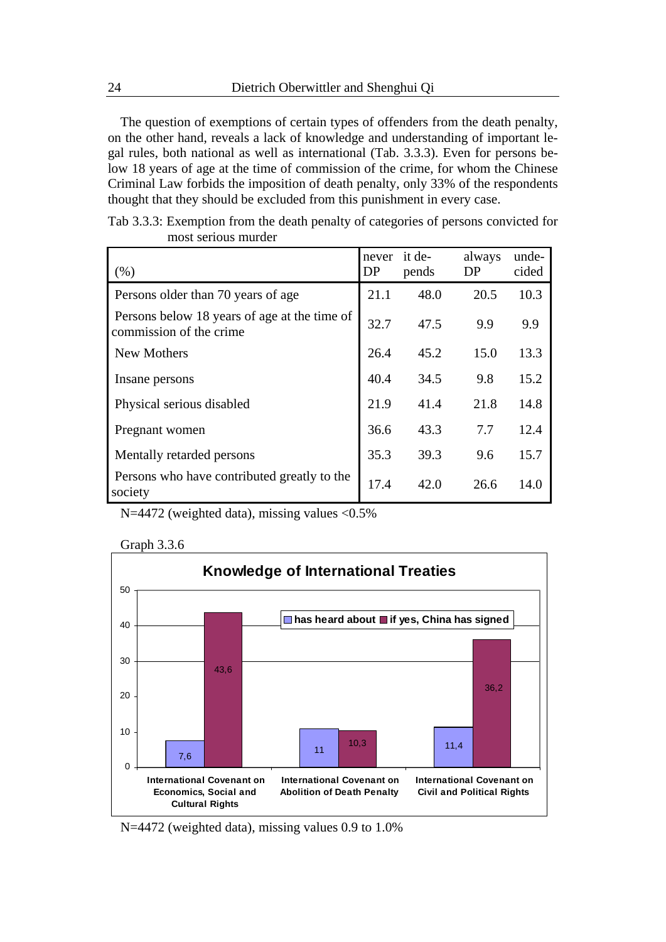The question of exemptions of certain types of offenders from the death penalty, on the other hand, reveals a lack of knowledge and understanding of important legal rules, both national as well as international (Tab. 3.3.3). Even for persons below 18 years of age at the time of commission of the crime, for whom the Chinese Criminal Law forbids the imposition of death penalty, only 33% of the respondents thought that they should be excluded from this punishment in every case.

| (% )                                                                    | never<br>DP | it de-<br>pends | always<br>DP | unde-<br>cided |
|-------------------------------------------------------------------------|-------------|-----------------|--------------|----------------|
| Persons older than 70 years of age.                                     | 21.1        | 48.0            | 20.5         | 10.3           |
| Persons below 18 years of age at the time of<br>commission of the crime | 32.7        | 47.5            | 9.9          | 9.9            |
| <b>New Mothers</b>                                                      | 26.4        | 45.2            | 15.0         | 13.3           |
| Insane persons                                                          | 40.4        | 34.5            | 9.8          | 15.2           |
| Physical serious disabled                                               | 21.9        | 41.4            | 21.8         | 14.8           |
| Pregnant women                                                          | 36.6        | 43.3            | 7.7          | 12.4           |
| Mentally retarded persons                                               | 35.3        | 39.3            | 9.6          | 15.7           |
| Persons who have contributed greatly to the<br>society                  | 17.4        | 42.0            | 26.6         | 14.0           |

|                     | Tab 3.3.3: Exemption from the death penalty of categories of persons convicted for |
|---------------------|------------------------------------------------------------------------------------|
| most serious murder |                                                                                    |

N=4472 (weighted data), missing values <0.5%



Graph 3.3.6

N=4472 (weighted data), missing values 0.9 to 1.0%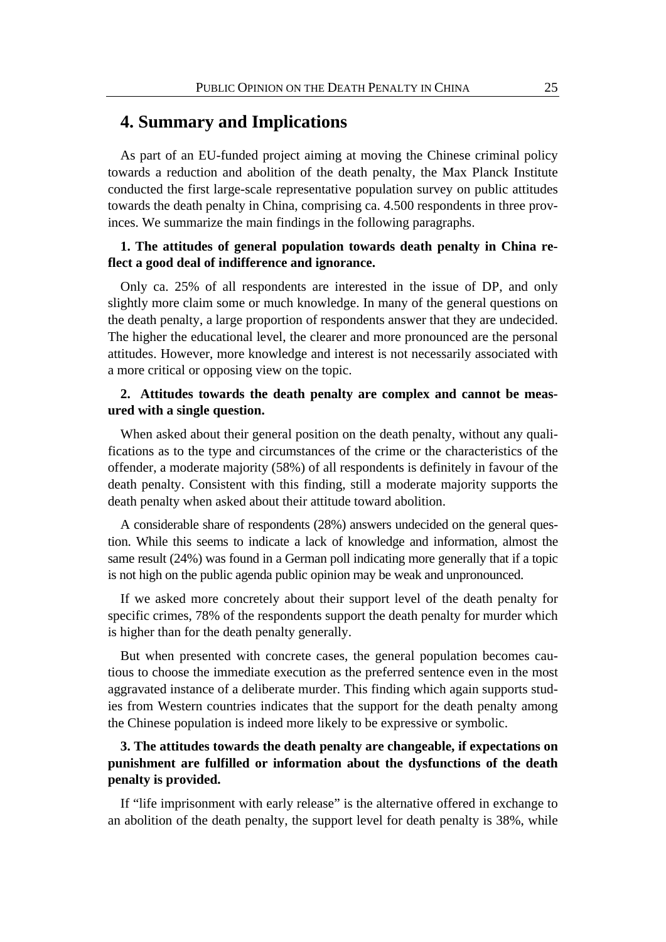# **4. Summary and Implications**

As part of an EU-funded project aiming at moving the Chinese criminal policy towards a reduction and abolition of the death penalty, the Max Planck Institute conducted the first large-scale representative population survey on public attitudes towards the death penalty in China, comprising ca. 4.500 respondents in three provinces. We summarize the main findings in the following paragraphs.

### **1. The attitudes of general population towards death penalty in China reflect a good deal of indifference and ignorance.**

Only ca. 25% of all respondents are interested in the issue of DP, and only slightly more claim some or much knowledge. In many of the general questions on the death penalty, a large proportion of respondents answer that they are undecided. The higher the educational level, the clearer and more pronounced are the personal attitudes. However, more knowledge and interest is not necessarily associated with a more critical or opposing view on the topic.

### **2. Attitudes towards the death penalty are complex and cannot be measured with a single question.**

When asked about their general position on the death penalty, without any qualifications as to the type and circumstances of the crime or the characteristics of the offender, a moderate majority (58%) of all respondents is definitely in favour of the death penalty. Consistent with this finding, still a moderate majority supports the death penalty when asked about their attitude toward abolition.

A considerable share of respondents (28%) answers undecided on the general question. While this seems to indicate a lack of knowledge and information, almost the same result (24%) was found in a German poll indicating more generally that if a topic is not high on the public agenda public opinion may be weak and unpronounced.

If we asked more concretely about their support level of the death penalty for specific crimes, 78% of the respondents support the death penalty for murder which is higher than for the death penalty generally.

But when presented with concrete cases, the general population becomes cautious to choose the immediate execution as the preferred sentence even in the most aggravated instance of a deliberate murder. This finding which again supports studies from Western countries indicates that the support for the death penalty among the Chinese population is indeed more likely to be expressive or symbolic.

## **3. The attitudes towards the death penalty are changeable, if expectations on punishment are fulfilled or information about the dysfunctions of the death penalty is provided.**

If "life imprisonment with early release" is the alternative offered in exchange to an abolition of the death penalty, the support level for death penalty is 38%, while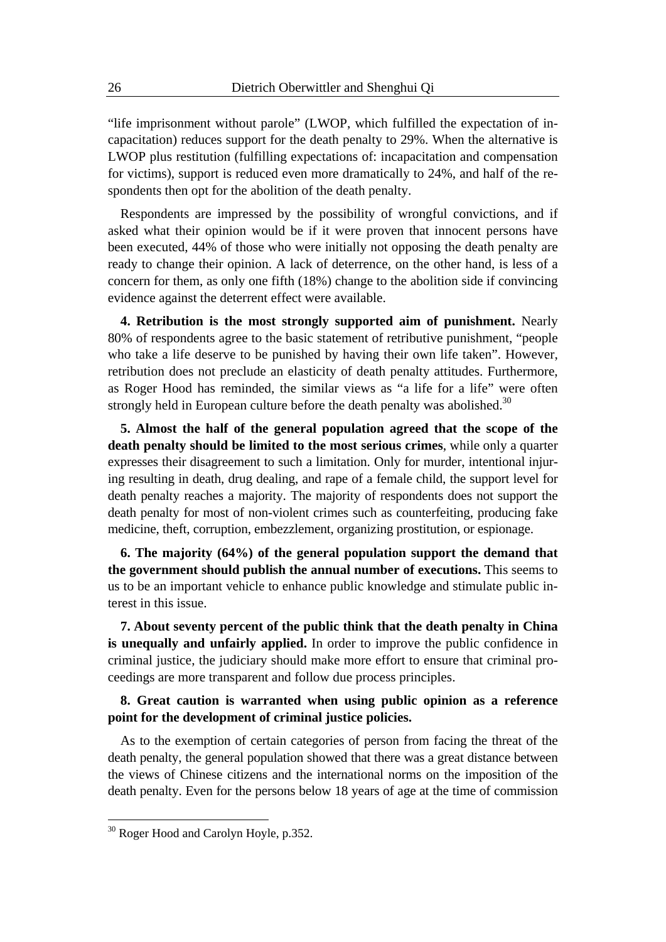"life imprisonment without parole" (LWOP, which fulfilled the expectation of incapacitation) reduces support for the death penalty to 29%. When the alternative is LWOP plus restitution (fulfilling expectations of: incapacitation and compensation for victims), support is reduced even more dramatically to 24%, and half of the respondents then opt for the abolition of the death penalty.

Respondents are impressed by the possibility of wrongful convictions, and if asked what their opinion would be if it were proven that innocent persons have been executed, 44% of those who were initially not opposing the death penalty are ready to change their opinion. A lack of deterrence, on the other hand, is less of a concern for them, as only one fifth (18%) change to the abolition side if convincing evidence against the deterrent effect were available.

**4. Retribution is the most strongly supported aim of punishment.** Nearly 80% of respondents agree to the basic statement of retributive punishment, "people who take a life deserve to be punished by having their own life taken". However, retribution does not preclude an elasticity of death penalty attitudes. Furthermore, as Roger Hood has reminded, the similar views as "a life for a life" were often strongly held in European culture before the death penalty was abolished.<sup>30</sup>

**5. Almost the half of the general population agreed that the scope of the death penalty should be limited to the most serious crimes**, while only a quarter expresses their disagreement to such a limitation. Only for murder, intentional injuring resulting in death, drug dealing, and rape of a female child, the support level for death penalty reaches a majority. The majority of respondents does not support the death penalty for most of non-violent crimes such as counterfeiting, producing fake medicine, theft, corruption, embezzlement, organizing prostitution, or espionage.

**6. The majority (64%) of the general population support the demand that the government should publish the annual number of executions.** This seems to us to be an important vehicle to enhance public knowledge and stimulate public interest in this issue.

**7. About seventy percent of the public think that the death penalty in China is unequally and unfairly applied.** In order to improve the public confidence in criminal justice, the judiciary should make more effort to ensure that criminal proceedings are more transparent and follow due process principles.

#### **8. Great caution is warranted when using public opinion as a reference point for the development of criminal justice policies.**

As to the exemption of certain categories of person from facing the threat of the death penalty, the general population showed that there was a great distance between the views of Chinese citizens and the international norms on the imposition of the death penalty. Even for the persons below 18 years of age at the time of commission

1

<sup>&</sup>lt;sup>30</sup> Roger Hood and Carolyn Hoyle, p.352.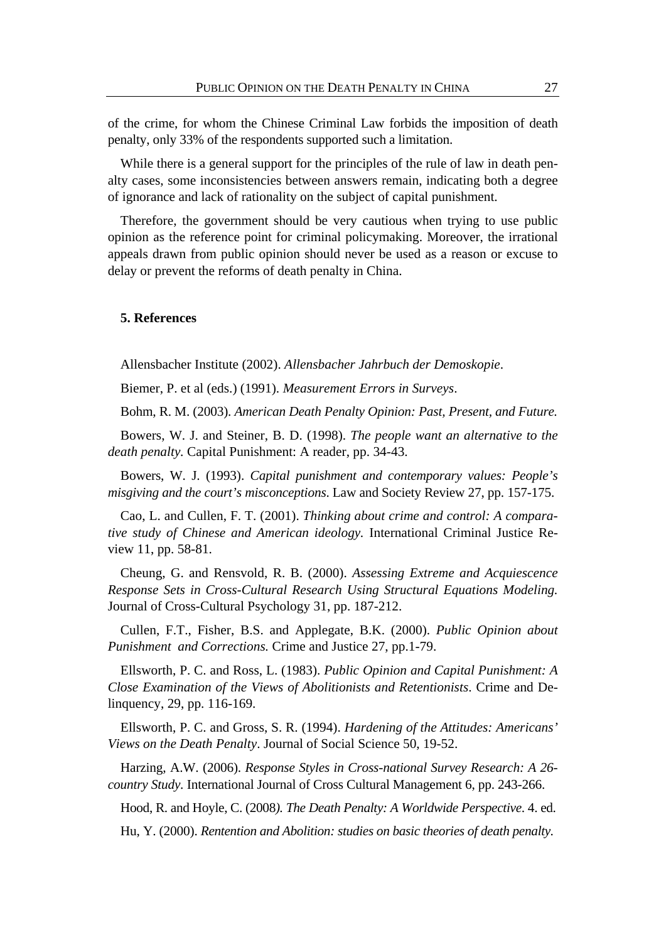of the crime, for whom the Chinese Criminal Law forbids the imposition of death penalty, only 33% of the respondents supported such a limitation.

While there is a general support for the principles of the rule of law in death penalty cases, some inconsistencies between answers remain, indicating both a degree of ignorance and lack of rationality on the subject of capital punishment.

Therefore, the government should be very cautious when trying to use public opinion as the reference point for criminal policymaking. Moreover, the irrational appeals drawn from public opinion should never be used as a reason or excuse to delay or prevent the reforms of death penalty in China.

#### **5. References**

Allensbacher Institute (2002). *Allensbacher Jahrbuch der Demoskopie*.

Biemer, P. et al (eds.) (1991). *Measurement Errors in Surveys*.

Bohm, R. M. (2003). *American Death Penalty Opinion: Past, Present, and Future.*

Bowers, W. J. and Steiner, B. D. (1998). *The people want an alternative to the death penalty.* Capital Punishment: A reader, pp. 34-43.

Bowers, W. J. (1993). *Capital punishment and contemporary values: People's misgiving and the court's misconceptions*. Law and Society Review 27, pp. 157-175.

Cao, L. and Cullen, F. T. (2001). *Thinking about crime and control: A comparative study of Chinese and American ideology.* International Criminal Justice Review 11, pp. 58-81.

Cheung, G. and Rensvold, R. B. (2000). *Assessing Extreme and Acquiescence Response Sets in Cross-Cultural Research Using Structural Equations Modeling.*  Journal of Cross-Cultural Psychology 31, pp. 187-212.

Cullen, F.T., Fisher, B.S. and Applegate, B.K. (2000). *Public Opinion about Punishment and Corrections.* Crime and Justice 27, pp.1-79.

Ellsworth, P. C. and Ross, L. (1983). *Public Opinion and Capital Punishment: A Close Examination of the Views of Abolitionists and Retentionists*. Crime and Delinquency, 29, pp. 116-169.

Ellsworth, P. C. and Gross, S. R. (1994). *Hardening of the Attitudes: Americans' Views on the Death Penalty*. Journal of Social Science 50, 19-52.

Harzing, A.W. (2006). *Response Styles in Cross-national Survey Research: A 26 country Study.* International Journal of Cross Cultural Management 6, pp. 243-266.

Hood, R. and Hoyle, C. (2008*). The Death Penalty: A Worldwide Perspective*. 4. ed.

Hu, Y. (2000). *Rentention and Abolition: studies on basic theories of death penalty.*